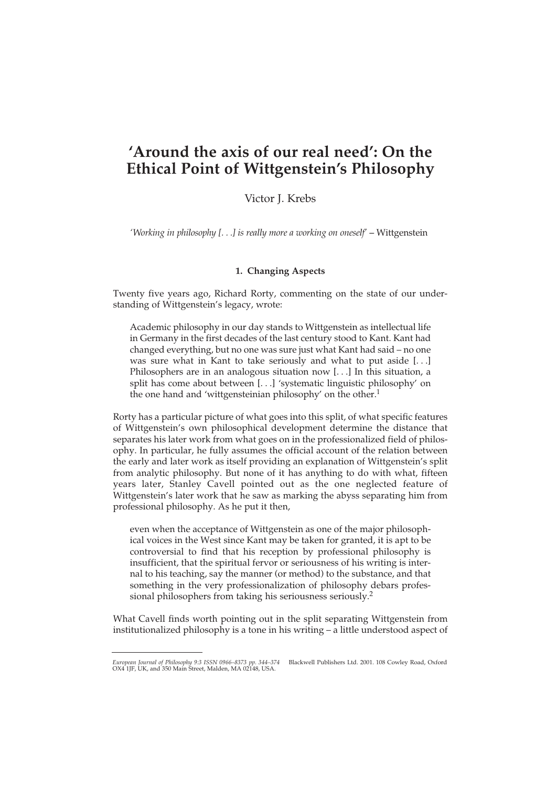# **'Around the axis of our real need': On the Ethical Point of Wittgenstein's Philosophy**

Victor J. Krebs

*'Working in philosophy [. . .] is really more a working on oneself' –* Wittgenstein

# **1. Changing Aspects**

Twenty five years ago, Richard Rorty, commenting on the state of our understanding of Wittgenstein's legacy, wrote:

Academic philosophy in our day stands to Wittgenstein as intellectual life in Germany in the first decades of the last century stood to Kant. Kant had changed everything, but no one was sure just what Kant had said – no one was sure what in Kant to take seriously and what to put aside [. . .] Philosophers are in an analogous situation now [. . .] In this situation, a split has come about between [. . .] 'systematic linguistic philosophy' on the one hand and 'wittgensteinian philosophy' on the other.<sup>1</sup>

Rorty has a particular picture of what goes into this split, of what specific features of Wittgenstein's own philosophical development determine the distance that separates his later work from what goes on in the professionalized field of philosophy. In particular, he fully assumes the official account of the relation between the early and later work as itself providing an explanation of Wittgenstein's split from analytic philosophy. But none of it has anything to do with what, fifteen years later, Stanley Cavell pointed out as the one neglected feature of Wittgenstein's later work that he saw as marking the abyss separating him from professional philosophy. As he put it then,

even when the acceptance of Wittgenstein as one of the major philosophical voices in the West since Kant may be taken for granted, it is apt to be controversial to find that his reception by professional philosophy is insufficient, that the spiritual fervor or seriousness of his writing is internal to his teaching, say the manner (or method) to the substance, and that something in the very professionalization of philosophy debars professional philosophers from taking his seriousness seriously.2

What Cavell finds worth pointing out in the split separating Wittgenstein from institutionalized philosophy is a tone in his writing – a little understood aspect of

E*uropean Journal of Philosophy 9:3 ISSN 0966-8373 pp. 344–374* © Blackwell Publishers Ltd. 2001. 108 Cowley Road, Oxford<br>OX4 1JF, UK, and 350 Main Street, Malden, MA 02148, USA.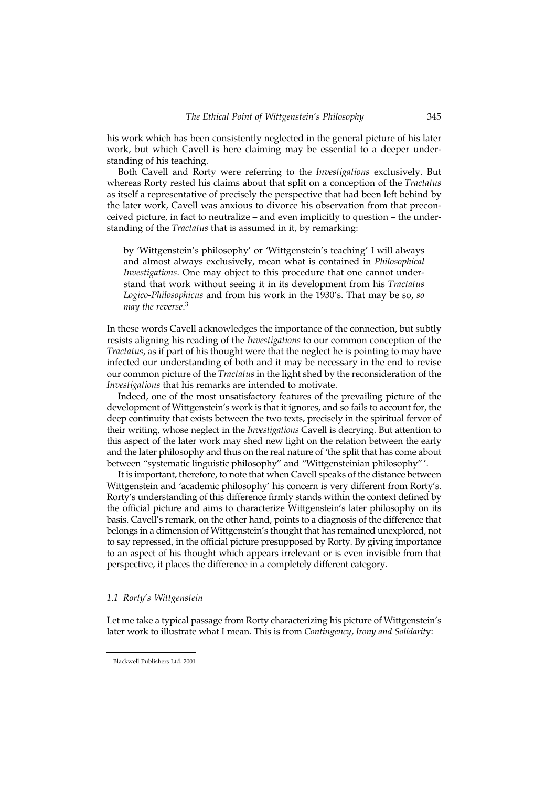his work which has been consistently neglected in the general picture of his later work, but which Cavell is here claiming may be essential to a deeper understanding of his teaching.

Both Cavell and Rorty were referring to the *Investigations* exclusively. But whereas Rorty rested his claims about that split on a conception of the *Tractatus* as itself a representative of precisely the perspective that had been left behind by the later work, Cavell was anxious to divorce his observation from that preconceived picture, in fact to neutralize – and even implicitly to question – the understanding of the *Tractatus* that is assumed in it, by remarking:

by 'Wittgenstein's philosophy' or 'Wittgenstein's teaching' I will always and almost always exclusively, mean what is contained in *Philosophical Investigations*. One may object to this procedure that one cannot understand that work without seeing it in its development from his *Tractatus Logico-Philosophicus* and from his work in the 1930's. That may be so, *so may the reverse*. 3

In these words Cavell acknowledges the importance of the connection, but subtly resists aligning his reading of the *Investigations* to our common conception of the *Tractatus*, as if part of his thought were that the neglect he is pointing to may have infected our understanding of both and it may be necessary in the end to revise our common picture of the *Tractatus* in the light shed by the reconsideration of the *Investigations* that his remarks are intended to motivate.

Indeed, one of the most unsatisfactory features of the prevailing picture of the development of Wittgenstein's work is that it ignores, and so fails to account for, the deep continuity that exists between the two texts, precisely in the spiritual fervor of their writing, whose neglect in the *Investigations* Cavell is decrying. But attention to this aspect of the later work may shed new light on the relation between the early and the later philosophy and thus on the real nature of 'the split that has come about between "systematic linguistic philosophy" and "Wittgensteinian philosophy" '.

It is important, therefore, to note that when Cavell speaks of the distance between Wittgenstein and 'academic philosophy' his concern is very different from Rorty's. Rorty's understanding of this difference firmly stands within the context defined by the official picture and aims to characterize Wittgenstein's later philosophy on its basis. Cavell's remark, on the other hand, points to a diagnosis of the difference that belongs in a dimension of Wittgenstein's thought that has remained unexplored, not to say repressed, in the official picture presupposed by Rorty. By giving importance to an aspect of his thought which appears irrelevant or is even invisible from that perspective, it places the difference in a completely different category.

#### *1.1 Rorty's Wittgenstein*

Let me take a typical passage from Rorty characterizing his picture of Wittgenstein's later work to illustrate what I mean. This is from *Contingency, Irony and Solidarit*y:

Blackwell Publishers Ltd. 2001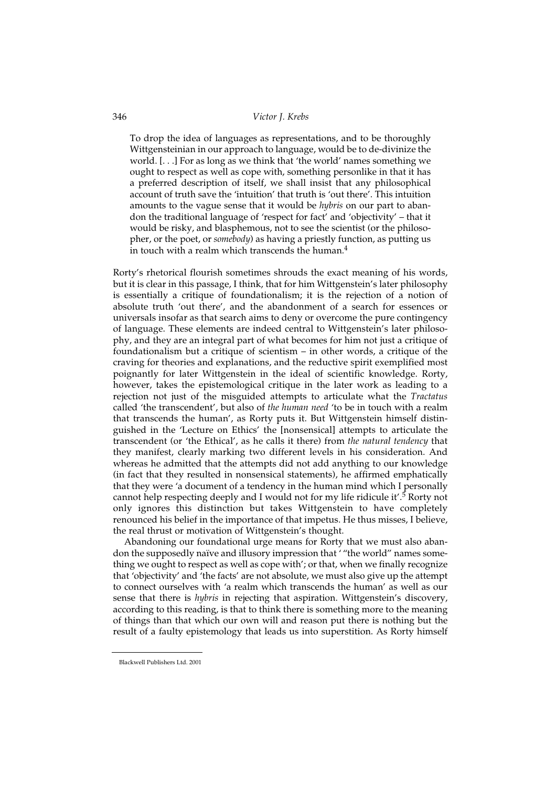#### 346 *Victor J. Krebs*

To drop the idea of languages as representations, and to be thoroughly Wittgensteinian in our approach to language, would be to de-divinize the world. [. . .] For as long as we think that 'the world' names something we ought to respect as well as cope with, something personlike in that it has a preferred description of itself, we shall insist that any philosophical account of truth save the 'intuition' that truth is 'out there'. This intuition amounts to the vague sense that it would be *hybris* on our part to abandon the traditional language of 'respect for fact' and 'objectivity' – that it would be risky, and blasphemous, not to see the scientist (or the philosopher, or the poet, or *somebody*) as having a priestly function, as putting us in touch with a realm which transcends the human.<sup>4</sup>

Rorty's rhetorical flourish sometimes shrouds the exact meaning of his words, but it is clear in this passage, I think, that for him Wittgenstein's later philosophy is essentially a critique of foundationalism; it is the rejection of a notion of absolute truth 'out there', and the abandonment of a search for essences or universals insofar as that search aims to deny or overcome the pure contingency of language. These elements are indeed central to Wittgenstein's later philosophy, and they are an integral part of what becomes for him not just a critique of foundationalism but a critique of scientism – in other words, a critique of the craving for theories and explanations, and the reductive spirit exemplified most poignantly for later Wittgenstein in the ideal of scientific knowledge. Rorty, however, takes the epistemological critique in the later work as leading to a rejection not just of the misguided attempts to articulate what the *Tractatus* called 'the transcendent', but also of *the human need* 'to be in touch with a realm that transcends the human', as Rorty puts it. But Wittgenstein himself distinguished in the 'Lecture on Ethics' the [nonsensical] attempts to articulate the transcendent (or 'the Ethical', as he calls it there) from *the natural tendency* that they manifest, clearly marking two different levels in his consideration. And whereas he admitted that the attempts did not add anything to our knowledge (in fact that they resulted in nonsensical statements), he affirmed emphatically that they were 'a document of a tendency in the human mind which I personally cannot help respecting deeply and I would not for my life ridicule it'.<sup>5</sup> Rorty not only ignores this distinction but takes Wittgenstein to have completely renounced his belief in the importance of that impetus. He thus misses, I believe, the real thrust or motivation of Wittgenstein's thought.

Abandoning our foundational urge means for Rorty that we must also abandon the supposedly naïve and illusory impression that ' "the world" names something we ought to respect as well as cope with'; or that, when we finally recognize that 'objectivity' and 'the facts' are not absolute, we must also give up the attempt to connect ourselves with 'a realm which transcends the human' as well as our sense that there is *hybris* in rejecting that aspiration. Wittgenstein's discovery, according to this reading, is that to think there is something more to the meaning of things than that which our own will and reason put there is nothing but the result of a faulty epistemology that leads us into superstition. As Rorty himself

Blackwell Publishers Ltd. 2001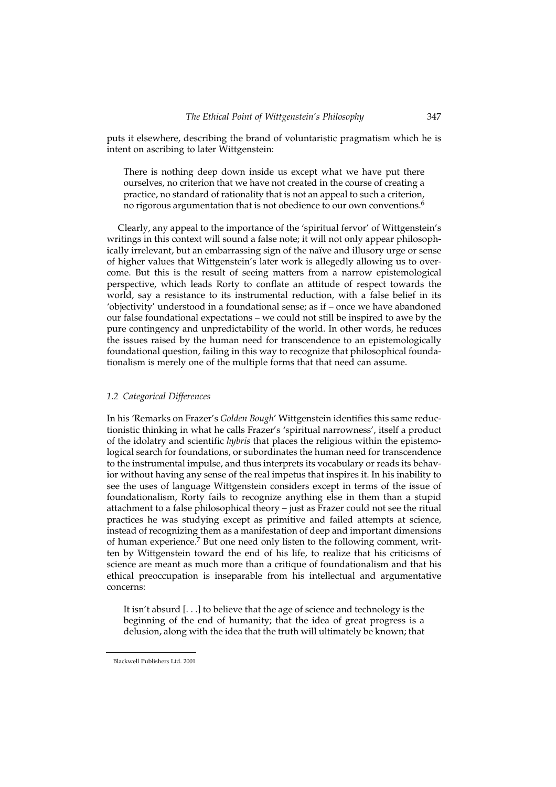puts it elsewhere, describing the brand of voluntaristic pragmatism which he is intent on ascribing to later Wittgenstein:

There is nothing deep down inside us except what we have put there ourselves, no criterion that we have not created in the course of creating a practice, no standard of rationality that is not an appeal to such a criterion, no rigorous argumentation that is not obedience to our own conventions.<sup>6</sup>

Clearly, any appeal to the importance of the 'spiritual fervor' of Wittgenstein's writings in this context will sound a false note; it will not only appear philosophically irrelevant, but an embarrassing sign of the naïve and illusory urge or sense of higher values that Wittgenstein's later work is allegedly allowing us to overcome. But this is the result of seeing matters from a narrow epistemological perspective, which leads Rorty to conflate an attitude of respect towards the world, say a resistance to its instrumental reduction, with a false belief in its 'objectivity' understood in a foundational sense; as if – once we have abandoned our false foundational expectations – we could not still be inspired to awe by the pure contingency and unpredictability of the world. In other words, he reduces the issues raised by the human need for transcendence to an epistemologically foundational question, failing in this way to recognize that philosophical foundationalism is merely one of the multiple forms that that need can assume.

#### *1.2 Categorical Differences*

In his 'Remarks on Frazer's *Golden Bough*' Wittgenstein identifies this same reductionistic thinking in what he calls Frazer's 'spiritual narrowness', itself a product of the idolatry and scientific *hybris* that places the religious within the epistemological search for foundations, or subordinates the human need for transcendence to the instrumental impulse, and thus interprets its vocabulary or reads its behavior without having any sense of the real impetus that inspires it. In his inability to see the uses of language Wittgenstein considers except in terms of the issue of foundationalism, Rorty fails to recognize anything else in them than a stupid attachment to a false philosophical theory – just as Frazer could not see the ritual practices he was studying except as primitive and failed attempts at science, instead of recognizing them as a manifestation of deep and important dimensions of human experience.7 But one need only listen to the following comment, written by Wittgenstein toward the end of his life, to realize that his criticisms of science are meant as much more than a critique of foundationalism and that his ethical preoccupation is inseparable from his intellectual and argumentative concerns:

It isn't absurd [. . .] to believe that the age of science and technology is the beginning of the end of humanity; that the idea of great progress is a delusion, along with the idea that the truth will ultimately be known; that

Blackwell Publishers Ltd. 2001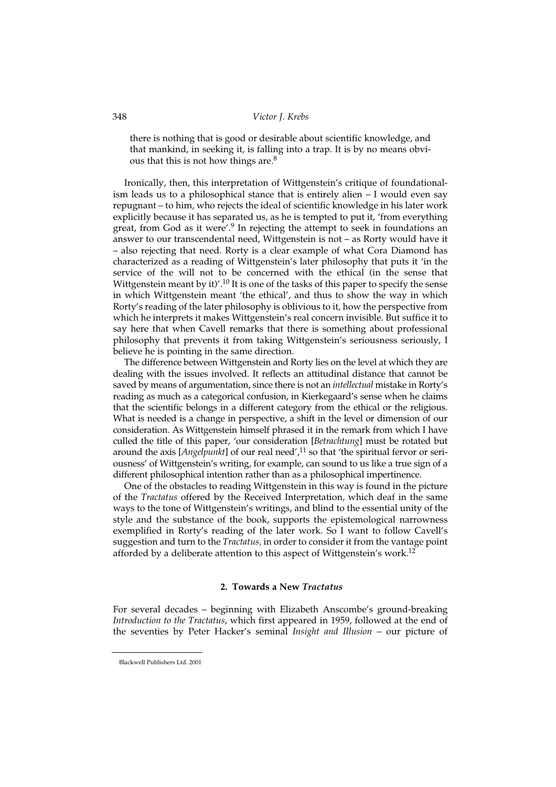there is nothing that is good or desirable about scientific knowledge, and that mankind, in seeking it, is falling into a trap. It is by no means obvious that this is not how things are.<sup>8</sup>

Ironically, then, this interpretation of Wittgenstein's critique of foundationalism leads us to a philosophical stance that is entirely alien – I would even say repugnant – to him, who rejects the ideal of scientific knowledge in his later work explicitly because it has separated us, as he is tempted to put it, 'from everything great, from God as it were'.<sup>9</sup> In rejecting the attempt to seek in foundations an answer to our transcendental need, Wittgenstein is not – as Rorty would have it – also rejecting that need. Rorty is a clear example of what Cora Diamond has characterized as a reading of Wittgenstein's later philosophy that puts it 'in the service of the will not to be concerned with the ethical (in the sense that Wittgenstein meant by it)'.<sup>10</sup> It is one of the tasks of this paper to specify the sense in which Wittgenstein meant 'the ethical', and thus to show the way in which Rorty's reading of the later philosophy is oblivious to it, how the perspective from which he interprets it makes Wittgenstein's real concern invisible. But suffice it to say here that when Cavell remarks that there is something about professional philosophy that prevents it from taking Wittgenstein's seriousness seriously, I believe he is pointing in the same direction.

The difference between Wittgenstein and Rorty lies on the level at which they are dealing with the issues involved. It reflects an attitudinal distance that cannot be saved by means of argumentation, since there is not an *intellectual* mistake in Rorty's reading as much as a categorical confusion, in Kierkegaard's sense when he claims that the scientific belongs in a different category from the ethical or the religious. What is needed is a change in perspective, a shift in the level or dimension of our consideration. As Wittgenstein himself phrased it in the remark from which I have culled the title of this paper, 'our consideration [*Betrachtung*] must be rotated but around the axis [*Angelpunkt*] of our real need',11 so that 'the spiritual fervor or seriousness' of Wittgenstein's writing, for example, can sound to us like a true sign of a different philosophical intention rather than as a philosophical impertinence.

One of the obstacles to reading Wittgenstein in this way is found in the picture of the *Tractatus* offered by the Received Interpretation*,* which deaf in the same ways to the tone of Wittgenstein's writings, and blind to the essential unity of the style and the substance of the book, supports the epistemological narrowness exemplified in Rorty's reading of the later work. So I want to follow Cavell's suggestion and turn to the *Tractatus,* in order to consider it from the vantage point afforded by a deliberate attention to this aspect of Wittgenstein's work.<sup>12</sup>

#### **2. Towards a New** *Tractatus*

For several decades – beginning with Elizabeth Anscombe's ground-breaking *Introduction to the Tractatus*, which first appeared in 1959, followed at the end of the seventies by Peter Hacker's seminal *Insight and Illusion* – our picture of

Blackwell Publishers Ltd. 2001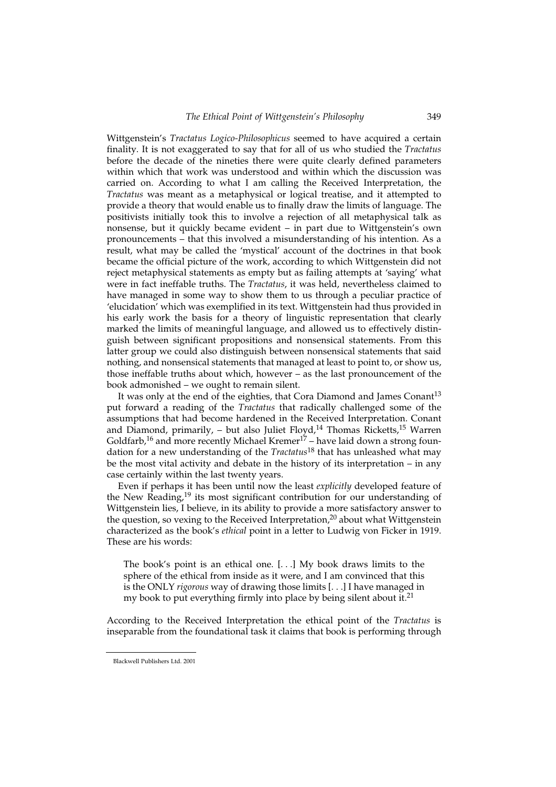Wittgenstein's *Tractatus Logico-Philosophicus* seemed to have acquired a certain finality. It is not exaggerated to say that for all of us who studied the *Tractatus* before the decade of the nineties there were quite clearly defined parameters within which that work was understood and within which the discussion was carried on. According to what I am calling the Received Interpretation, the *Tractatus* was meant as a metaphysical or logical treatise, and it attempted to provide a theory that would enable us to finally draw the limits of language. The positivists initially took this to involve a rejection of all metaphysical talk as nonsense, but it quickly became evident – in part due to Wittgenstein's own pronouncements – that this involved a misunderstanding of his intention. As a result, what may be called the 'mystical' account of the doctrines in that book became the official picture of the work, according to which Wittgenstein did not reject metaphysical statements as empty but as failing attempts at 'saying' what were in fact ineffable truths. The *Tractatus*, it was held, nevertheless claimed to have managed in some way to show them to us through a peculiar practice of 'elucidation' which was exemplified in its text. Wittgenstein had thus provided in his early work the basis for a theory of linguistic representation that clearly marked the limits of meaningful language, and allowed us to effectively distinguish between significant propositions and nonsensical statements. From this latter group we could also distinguish between nonsensical statements that said nothing, and nonsensical statements that managed at least to point to, or show us, those ineffable truths about which, however – as the last pronouncement of the book admonished – we ought to remain silent.

It was only at the end of the eighties, that Cora Diamond and James Conant<sup>13</sup> put forward a reading of the *Tractatus* that radically challenged some of the assumptions that had become hardened in the Received Interpretation. Conant and Diamond, primarily, - but also Juliet Floyd,<sup>14</sup> Thomas Ricketts,<sup>15</sup> Warren Goldfarb,<sup>16</sup> and more recently Michael Kremer<sup>17</sup> – have laid down a strong foundation for a new understanding of the *Tractatus*<sup>18</sup> that has unleashed what may be the most vital activity and debate in the history of its interpretation – in any case certainly within the last twenty years.

Even if perhaps it has been until now the least *explicitly* developed feature of the New Reading, $19$  its most significant contribution for our understanding of Wittgenstein lies, I believe, in its ability to provide a more satisfactory answer to the question, so vexing to the Received Interpretation,<sup>20</sup> about what Wittgenstein characterized as the book's *ethical* point in a letter to Ludwig von Ficker in 1919. These are his words:

The book's point is an ethical one. [. . .] My book draws limits to the sphere of the ethical from inside as it were, and I am convinced that this is the ONLY *rigorous* way of drawing those limits [. . .] I have managed in my book to put everything firmly into place by being silent about it. $2<sup>1</sup>$ 

According to the Received Interpretation the ethical point of the *Tractatus* is inseparable from the foundational task it claims that book is performing through

Blackwell Publishers Ltd. 2001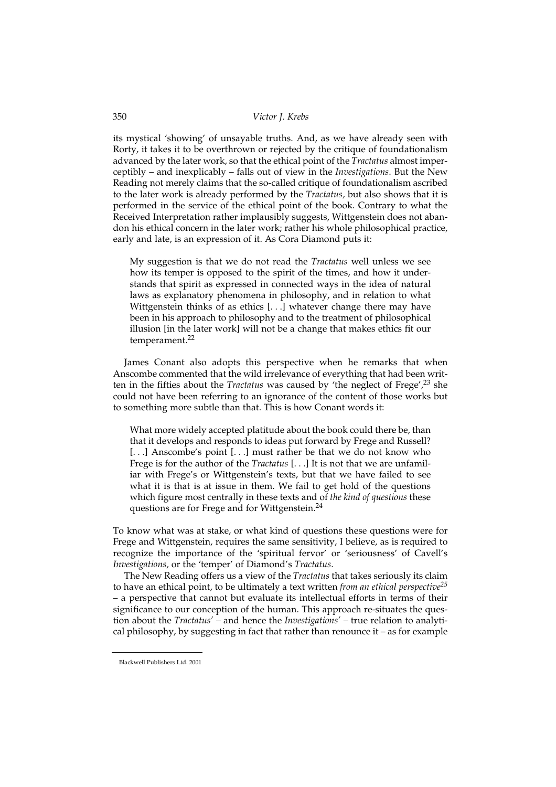its mystical 'showing' of unsayable truths. And, as we have already seen with Rorty, it takes it to be overthrown or rejected by the critique of foundationalism advanced by the later work, so that the ethical point of the *Tractatus* almost imperceptibly – and inexplicably – falls out of view in the *Investigations*. But the New Reading not merely claims that the so-called critique of foundationalism ascribed to the later work is already performed by the *Tractatus,* but also shows that it is performed in the service of the ethical point of the book. Contrary to what the Received Interpretation rather implausibly suggests, Wittgenstein does not abandon his ethical concern in the later work; rather his whole philosophical practice, early and late, is an expression of it. As Cora Diamond puts it:

My suggestion is that we do not read the *Tractatus* well unless we see how its temper is opposed to the spirit of the times, and how it understands that spirit as expressed in connected ways in the idea of natural laws as explanatory phenomena in philosophy, and in relation to what Wittgenstein thinks of as ethics [. . .] whatever change there may have been in his approach to philosophy and to the treatment of philosophical illusion [in the later work] will not be a change that makes ethics fit our temperament.22

James Conant also adopts this perspective when he remarks that when Anscombe commented that the wild irrelevance of everything that had been written in the fifties about the *Tractatus* was caused by 'the neglect of Frege',<sup>23</sup> she could not have been referring to an ignorance of the content of those works but to something more subtle than that. This is how Conant words it:

What more widely accepted platitude about the book could there be, than that it develops and responds to ideas put forward by Frege and Russell? [...] Anscombe's point [...] must rather be that we do not know who Frege is for the author of the *Tractatus* [. . .] It is not that we are unfamiliar with Frege's or Wittgenstein's texts, but that we have failed to see what it is that is at issue in them. We fail to get hold of the questions which figure most centrally in these texts and of *the kind of questions* these questions are for Frege and for Wittgenstein.24

To know what was at stake, or what kind of questions these questions were for Frege and Wittgenstein, requires the same sensitivity, I believe, as is required to recognize the importance of the 'spiritual fervor' or 'seriousness' of Cavell's *Investigations,* or the 'temper' of Diamond's *Tractatus*.

The New Reading offers us a view of the *Tractatus* that takes seriously its claim to have an ethical point, to be ultimately a text written *from an ethical perspective25* – a perspective that cannot but evaluate its intellectual efforts in terms of their significance to our conception of the human. This approach re-situates the question about the *Tractatus' –* and hence the *Investigations' –* true relation to analytical philosophy, by suggesting in fact that rather than renounce it – as for example

Blackwell Publishers Ltd. 2001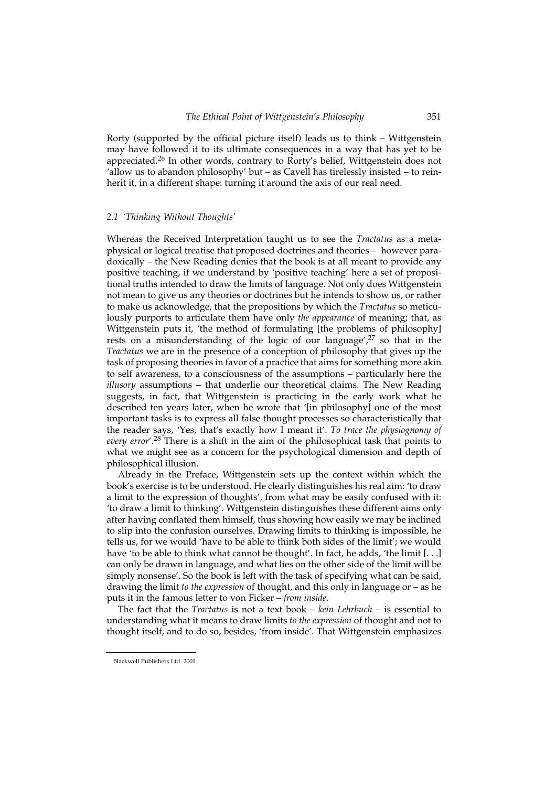Rorty (supported by the official picture itself) leads us to think – Wittgenstein may have followed it to its ultimate consequences in a way that has yet to be appreciated.<sup>26</sup> In other words, contrary to Rorty's belief, Wittgenstein does not 'allow us to abandon philosophy' but – as Cavell has tirelessly insisted – to reinherit it, in a different shape: turning it around the axis of our real need.

#### *2.1 'Thinking Without Thoughts'*

Whereas the Received Interpretation taught us to see the *Tractatus* as a metaphysical or logical treatise that proposed doctrines and theories – however paradoxically – the New Reading denies that the book is at all meant to provide any positive teaching, if we understand by 'positive teaching' here a set of propositional truths intended to draw the limits of language. Not only does Wittgenstein not mean to give us any theories or doctrines but he intends to show us, or rather to make us acknowledge, that the propositions by which the *Tractatus* so meticulously purports to articulate them have only *the appearance* of meaning; that, as Wittgenstein puts it, 'the method of formulating [the problems of philosophy] rests on a misunderstanding of the logic of our language',<sup>27</sup> so that in the *Tractatus* we are in the presence of a conception of philosophy that gives up the task of proposing theories in favor of a practice that aims for something more akin to self awareness, to a consciousness of the assumptions – particularly here the *illusory* assumptions – that underlie our theoretical claims. The New Reading suggests, in fact, that Wittgenstein is practicing in the early work what he described ten years later, when he wrote that '[in philosophy] one of the most important tasks is to express all false thought processes so characteristically that the reader says, 'Yes, that's exactly how I meant it'. *To trace the physiognomy of every error*'.28 There is a shift in the aim of the philosophical task that points to what we might see as a concern for the psychological dimension and depth of philosophical illusion.

Already in the Preface, Wittgenstein sets up the context within which the book's exercise is to be understood. He clearly distinguishes his real aim: 'to draw a limit to the expression of thoughts', from what may be easily confused with it: 'to draw a limit to thinking'. Wittgenstein distinguishes these different aims only after having conflated them himself, thus showing how easily we may be inclined to slip into the confusion ourselves. Drawing limits to thinking is impossible, he tells us, for we would 'have to be able to think both sides of the limit'; we would have 'to be able to think what cannot be thought'. In fact, he adds, 'the limit [. . .] can only be drawn in language, and what lies on the other side of the limit will be simply nonsense'. So the book is left with the task of specifying what can be said, drawing the limit *to the expression* of thought, and this only in language or – as he puts it in the famous letter to von Ficker *– from inside*.

The fact that the *Tractatus* is not a text book – *kein Lehrbuch –* is essential to understanding what it means to draw limits *to the expression* of thought and not to thought itself, and to do so, besides, 'from inside'. That Wittgenstein emphasizes

Blackwell Publishers Ltd. 2001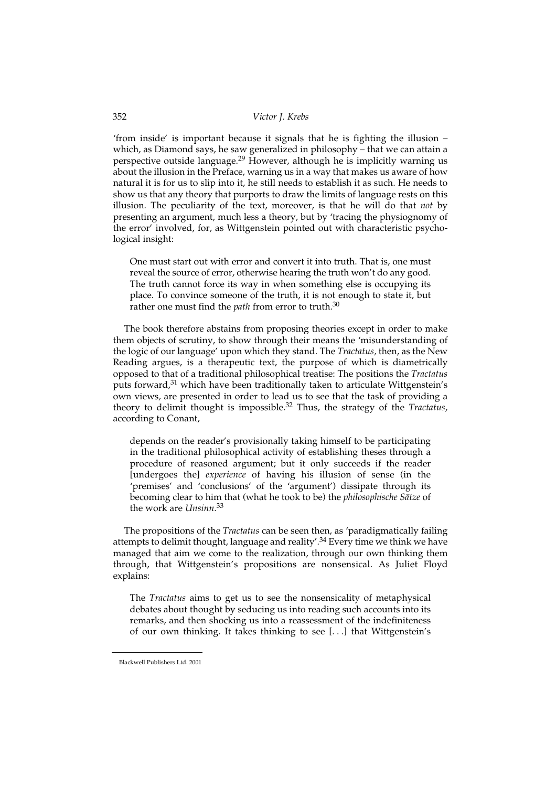#### 352 *Victor J. Krebs*

'from inside' is important because it signals that he is fighting the illusion – which, as Diamond says, he saw generalized in philosophy – that we can attain a perspective outside language.29 However, although he is implicitly warning us about the illusion in the Preface, warning us in a way that makes us aware of how natural it is for us to slip into it, he still needs to establish it as such. He needs to show us that any theory that purports to draw the limits of language rests on this illusion. The peculiarity of the text, moreover, is that he will do that *not* by presenting an argument, much less a theory, but by 'tracing the physiognomy of the error' involved, for, as Wittgenstein pointed out with characteristic psychological insight:

One must start out with error and convert it into truth. That is, one must reveal the source of error, otherwise hearing the truth won't do any good. The truth cannot force its way in when something else is occupying its place. To convince someone of the truth, it is not enough to state it, but rather one must find the *path* from error to truth.30

The book therefore abstains from proposing theories except in order to make them objects of scrutiny, to show through their means the 'misunderstanding of the logic of our language' upon which they stand. The *Tractatus,* then, as the New Reading argues, is a therapeutic text, the purpose of which is diametrically opposed to that of a traditional philosophical treatise: The positions the *Tractatus* puts forward,<sup>31</sup> which have been traditionally taken to articulate Wittgenstein's own views*,* are presented in order to lead us to see that the task of providing a theory to delimit thought is impossible.32 Thus, the strategy of the *Tractatus*, according to Conant,

depends on the reader's provisionally taking himself to be participating in the traditional philosophical activity of establishing theses through a procedure of reasoned argument; but it only succeeds if the reader [undergoes the] *experience* of having his illusion of sense (in the 'premises' and 'conclusions' of the 'argument') dissipate through its becoming clear to him that (what he took to be) the *philosophische Sätze* of the work are *Unsinn*. 33

The propositions of the *Tractatus* can be seen then, as 'paradigmatically failing attempts to delimit thought, language and reality'.<sup>34</sup> Every time we think we have managed that aim we come to the realization, through our own thinking them through, that Wittgenstein's propositions are nonsensical. As Juliet Floyd explains:

The *Tractatus* aims to get us to see the nonsensicality of metaphysical debates about thought by seducing us into reading such accounts into its remarks, and then shocking us into a reassessment of the indefiniteness of our own thinking. It takes thinking to see [. . .] that Wittgenstein's

Blackwell Publishers Ltd. 2001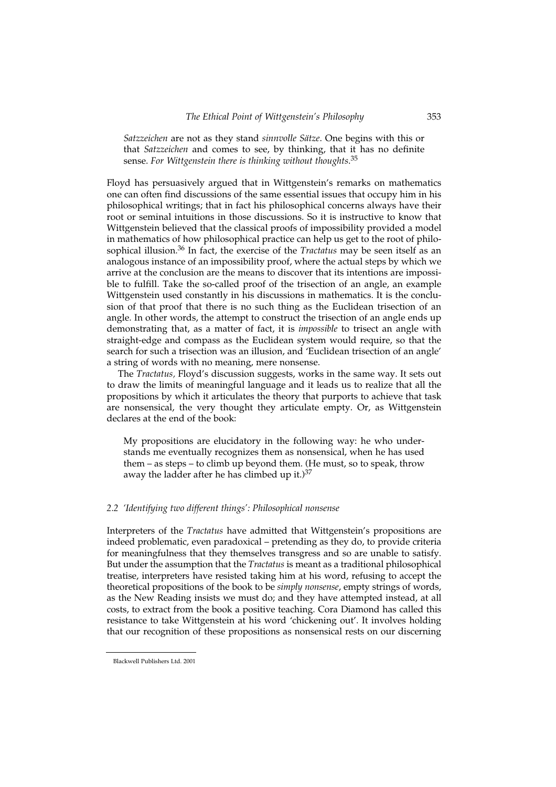*Satzzeichen* are not as they stand *sinnvolle Sätze*. One begins with this or that *Satzzeichen* and comes to see, by thinking, that it has no definite sense. *For Wittgenstein there is thinking without thoughts*. 35

Floyd has persuasively argued that in Wittgenstein's remarks on mathematics one can often find discussions of the same essential issues that occupy him in his philosophical writings; that in fact his philosophical concerns always have their root or seminal intuitions in those discussions. So it is instructive to know that Wittgenstein believed that the classical proofs of impossibility provided a model in mathematics of how philosophical practice can help us get to the root of philosophical illusion.36 In fact, the exercise of the *Tractatus* may be seen itself as an analogous instance of an impossibility proof, where the actual steps by which we arrive at the conclusion are the means to discover that its intentions are impossible to fulfill. Take the so-called proof of the trisection of an angle, an example Wittgenstein used constantly in his discussions in mathematics. It is the conclusion of that proof that there is no such thing as the Euclidean trisection of an angle. In other words, the attempt to construct the trisection of an angle ends up demonstrating that, as a matter of fact, it is *impossible* to trisect an angle with straight-edge and compass as the Euclidean system would require, so that the search for such a trisection was an illusion, and 'Euclidean trisection of an angle' a string of words with no meaning, mere nonsense.

The *Tractatus,* Floyd's discussion suggests, works in the same way. It sets out to draw the limits of meaningful language and it leads us to realize that all the propositions by which it articulates the theory that purports to achieve that task are nonsensical, the very thought they articulate empty. Or, as Wittgenstein declares at the end of the book:

My propositions are elucidatory in the following way: he who understands me eventually recognizes them as nonsensical, when he has used them – as steps – to climb up beyond them. (He must, so to speak, throw away the ladder after he has climbed up it.) $37$ 

#### *2.2 'Identifying two different things': Philosophical nonsense*

Interpreters of the *Tractatus* have admitted that Wittgenstein's propositions are indeed problematic, even paradoxical – pretending as they do, to provide criteria for meaningfulness that they themselves transgress and so are unable to satisfy. But under the assumption that the *Tractatus* is meant as a traditional philosophical treatise, interpreters have resisted taking him at his word, refusing to accept the theoretical propositions of the book to be *simply nonsense*, empty strings of words, as the New Reading insists we must do; and they have attempted instead, at all costs, to extract from the book a positive teaching. Cora Diamond has called this resistance to take Wittgenstein at his word 'chickening out'. It involves holding that our recognition of these propositions as nonsensical rests on our discerning

Blackwell Publishers Ltd. 2001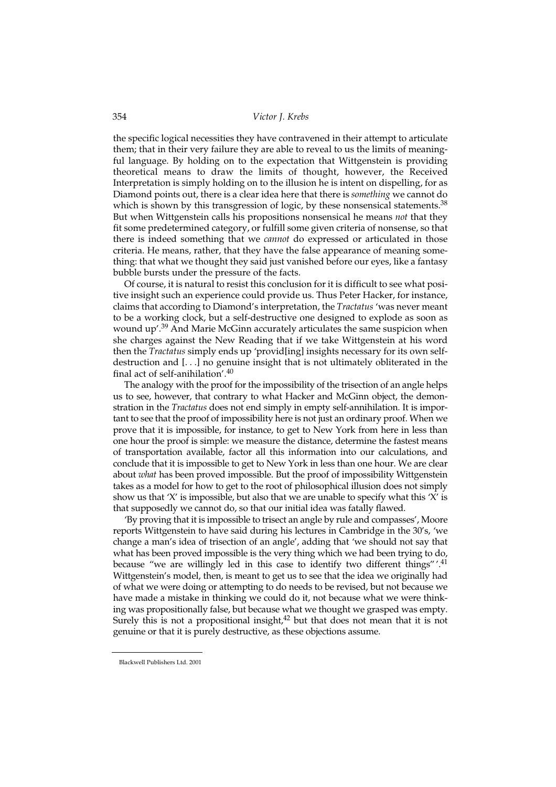the specific logical necessities they have contravened in their attempt to articulate them; that in their very failure they are able to reveal to us the limits of meaningful language. By holding on to the expectation that Wittgenstein is providing theoretical means to draw the limits of thought, however, the Received Interpretation is simply holding on to the illusion he is intent on dispelling, for as Diamond points out, there is a clear idea here that there is *something* we cannot do which is shown by this transgression of logic, by these nonsensical statements.<sup>38</sup> But when Wittgenstein calls his propositions nonsensical he means *not* that they fit some predetermined category, or fulfill some given criteria of nonsense, so that there is indeed something that we *cannot* do expressed or articulated in those criteria. He means, rather, that they have the false appearance of meaning something: that what we thought they said just vanished before our eyes, like a fantasy bubble bursts under the pressure of the facts.

Of course, it is natural to resist this conclusion for it is difficult to see what positive insight such an experience could provide us. Thus Peter Hacker, for instance, claims that according to Diamond's interpretation, the *Tractatus* 'was never meant to be a working clock, but a self-destructive one designed to explode as soon as wound up'.39 And Marie McGinn accurately articulates the same suspicion when she charges against the New Reading that if we take Wittgenstein at his word then the *Tractatus* simply ends up 'provid[ing] insights necessary for its own selfdestruction and [. . .] no genuine insight that is not ultimately obliterated in the final act of self-anihilation'. $40$ 

The analogy with the proof for the impossibility of the trisection of an angle helps us to see, however, that contrary to what Hacker and McGinn object, the demonstration in the *Tractatus* does not end simply in empty self-annihilation. It is important to see that the proof of impossibility here is not just an ordinary proof. When we prove that it is impossible, for instance, to get to New York from here in less than one hour the proof is simple: we measure the distance, determine the fastest means of transportation available, factor all this information into our calculations, and conclude that it is impossible to get to New York in less than one hour. We are clear about *what* has been proved impossible. But the proof of impossibility Wittgenstein takes as a model for how to get to the root of philosophical illusion does not simply show us that 'X' is impossible, but also that we are unable to specify what this 'X' is that supposedly we cannot do, so that our initial idea was fatally flawed.

'By proving that it is impossible to trisect an angle by rule and compasses', Moore reports Wittgenstein to have said during his lectures in Cambridge in the 30's, 'we change a man's idea of trisection of an angle', adding that 'we should not say that what has been proved impossible is the very thing which we had been trying to do, because "we are willingly led in this case to identify two different things"'.<sup>41</sup> Wittgenstein's model, then, is meant to get us to see that the idea we originally had of what we were doing or attempting to do needs to be revised, but not because we have made a mistake in thinking we could do it, not because what we were thinking was propositionally false, but because what we thought we grasped was empty. Surely this is not a propositional insight, $42$  but that does not mean that it is not genuine or that it is purely destructive, as these objections assume.

Blackwell Publishers Ltd. 2001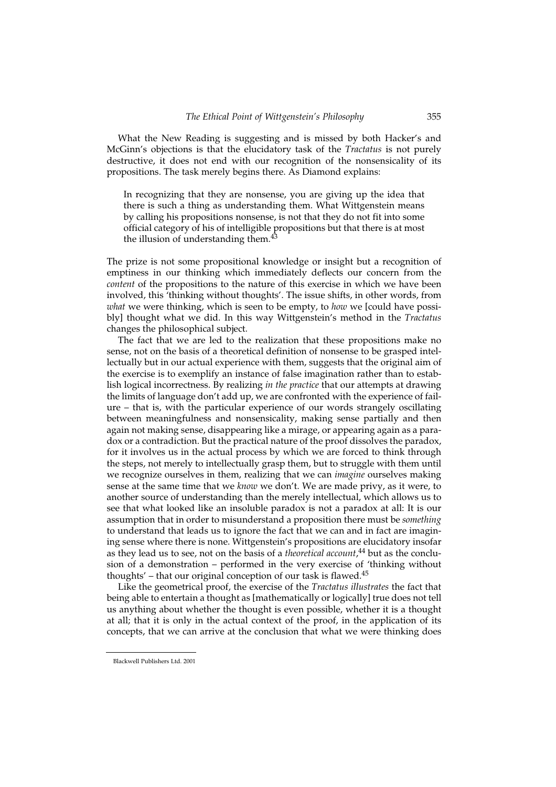What the New Reading is suggesting and is missed by both Hacker's and McGinn's objections is that the elucidatory task of the *Tractatus* is not purely destructive, it does not end with our recognition of the nonsensicality of its propositions. The task merely begins there. As Diamond explains:

In recognizing that they are nonsense, you are giving up the idea that there is such a thing as understanding them. What Wittgenstein means by calling his propositions nonsense, is not that they do not fit into some official category of his of intelligible propositions but that there is at most the illusion of understanding them.<sup>43</sup>

The prize is not some propositional knowledge or insight but a recognition of emptiness in our thinking which immediately deflects our concern from the *content* of the propositions to the nature of this exercise in which we have been involved, this 'thinking without thoughts'. The issue shifts, in other words, from *what* we were thinking, which is seen to be empty, to *how* we [could have possibly] thought what we did. In this way Wittgenstein's method in the *Tractatus* changes the philosophical subject.

The fact that we are led to the realization that these propositions make no sense, not on the basis of a theoretical definition of nonsense to be grasped intellectually but in our actual experience with them, suggests that the original aim of the exercise is to exemplify an instance of false imagination rather than to establish logical incorrectness. By realizing *in the practice* that our attempts at drawing the limits of language don't add up, we are confronted with the experience of failure – that is, with the particular experience of our words strangely oscillating between meaningfulness and nonsensicality, making sense partially and then again not making sense, disappearing like a mirage, or appearing again as a paradox or a contradiction. But the practical nature of the proof dissolves the paradox, for it involves us in the actual process by which we are forced to think through the steps, not merely to intellectually grasp them, but to struggle with them until we recognize ourselves in them, realizing that we can *imagine* ourselves making sense at the same time that we *know* we don't. We are made privy, as it were, to another source of understanding than the merely intellectual, which allows us to see that what looked like an insoluble paradox is not a paradox at all: It is our assumption that in order to misunderstand a proposition there must be *something* to understand that leads us to ignore the fact that we can and in fact are imagining sense where there is none. Wittgenstein's propositions are elucidatory insofar as they lead us to see, not on the basis of a *theoretical account*, <sup>44</sup> but as the conclusion of a demonstration – performed in the very exercise of 'thinking without thoughts' – that our original conception of our task is flawed. $45$ 

Like the geometrical proof, the exercise of the *Tractatus illustrates* the fact that being able to entertain a thought as [mathematically or logically] true does not tell us anything about whether the thought is even possible, whether it is a thought at all; that it is only in the actual context of the proof, in the application of its concepts, that we can arrive at the conclusion that what we were thinking does

Blackwell Publishers Ltd. 2001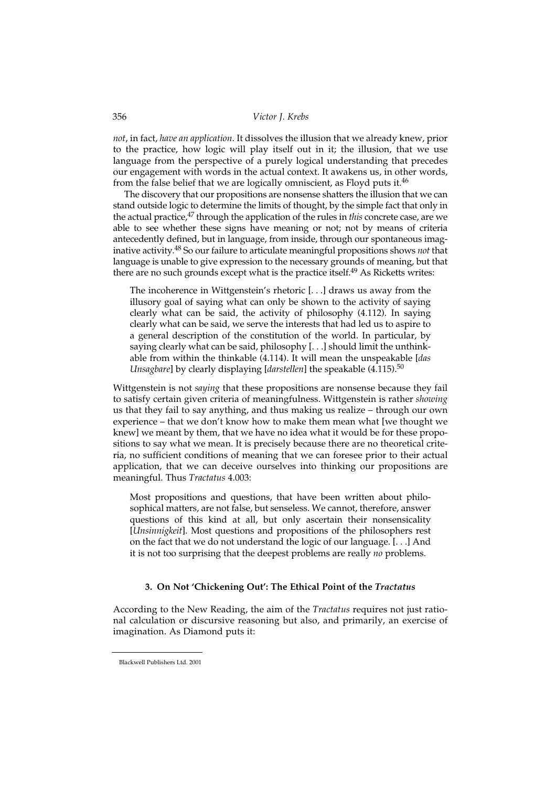*not*, in fact, *have an application*. It dissolves the illusion that we already knew, prior to the practice, how logic will play itself out in it; the illusion, that we use language from the perspective of a purely logical understanding that precedes our engagement with words in the actual context. It awakens us, in other words, from the false belief that we are logically omniscient, as Floyd puts it.<sup>46</sup>

The discovery that our propositions are nonsense shatters the illusion that we can stand outside logic to determine the limits of thought, by the simple fact that only in the actual practice,<sup>47</sup> through the application of the rules in *this* concrete case, are we able to see whether these signs have meaning or not; not by means of criteria antecedently defined, but in language, from inside, through our spontaneous imaginative activity.48 So our failure to articulate meaningful propositions shows *not* that language is unable to give expression to the necessary grounds of meaning, but that there are no such grounds except what is the practice itself.<sup>49</sup> As Ricketts writes:

The incoherence in Wittgenstein's rhetoric [. . .] draws us away from the illusory goal of saying what can only be shown to the activity of saying clearly what can be said, the activity of philosophy (4.112). In saying clearly what can be said, we serve the interests that had led us to aspire to a general description of the constitution of the world. In particular, by saying clearly what can be said, philosophy [. . .] should limit the unthinkable from within the thinkable (4.114). It will mean the unspeakable [*das Unsagbare*] by clearly displaying [*darstellen*] the speakable (4.115).<sup>50</sup>

Wittgenstein is not *saying* that these propositions are nonsense because they fail to satisfy certain given criteria of meaningfulness. Wittgenstein is rather *showing* us that they fail to say anything, and thus making us realize – through our own experience – that we don't know how to make them mean what [we thought we knew] we meant by them, that we have no idea what it would be for these propositions to say what we mean. It is precisely because there are no theoretical criteria, no sufficient conditions of meaning that we can foresee prior to their actual application, that we can deceive ourselves into thinking our propositions are meaningful. Thus *Tractatus* 4.003:

Most propositions and questions, that have been written about philosophical matters, are not false, but senseless. We cannot, therefore, answer questions of this kind at all, but only ascertain their nonsensicality [*Unsinnigkeit*]. Most questions and propositions of the philosophers rest on the fact that we do not understand the logic of our language. [. . .] And it is not too surprising that the deepest problems are really *no* problems.

#### **3. On Not 'Chickening Out': The Ethical Point of the** *Tractatus*

According to the New Reading, the aim of the *Tractatus* requires not just rational calculation or discursive reasoning but also, and primarily, an exercise of imagination. As Diamond puts it:

Blackwell Publishers Ltd. 2001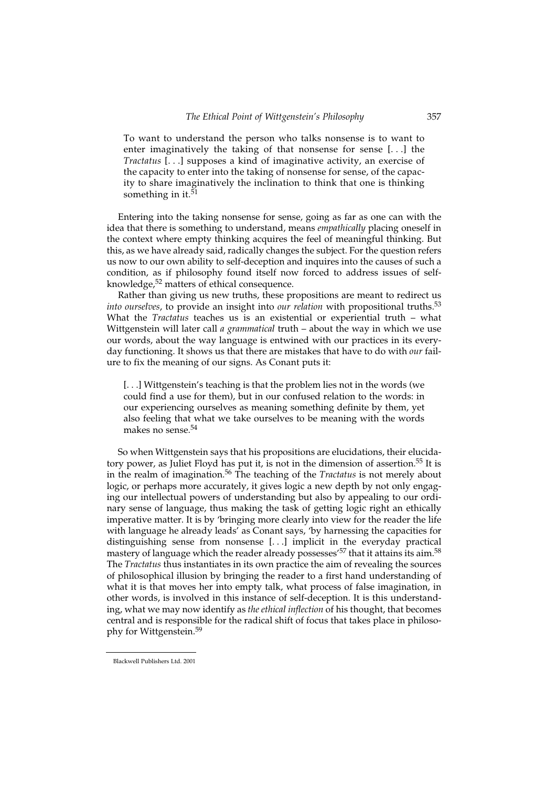To want to understand the person who talks nonsense is to want to enter imaginatively the taking of that nonsense for sense [. . .] the *Tractatus* [. . .] supposes a kind of imaginative activity, an exercise of the capacity to enter into the taking of nonsense for sense, of the capacity to share imaginatively the inclination to think that one is thinking something in it. $51$ 

Entering into the taking nonsense for sense, going as far as one can with the idea that there is something to understand, means *empathically* placing oneself in the context where empty thinking acquires the feel of meaningful thinking. But this, as we have already said, radically changes the subject. For the question refers us now to our own ability to self-deception and inquires into the causes of such a condition, as if philosophy found itself now forced to address issues of selfknowledge,52 matters of ethical consequence.

Rather than giving us new truths, these propositions are meant to redirect us *into ourselves,* to provide an insight into *our relation* with propositional truths.<sup>53</sup> What the *Tractatus* teaches us is an existential or experiential truth – what Wittgenstein will later call *a grammatical* truth – about the way in which we use our words, about the way language is entwined with our practices in its everyday functioning. It shows us that there are mistakes that have to do with *our* failure to fix the meaning of our signs. As Conant puts it:

[...] Wittgenstein's teaching is that the problem lies not in the words (we could find a use for them), but in our confused relation to the words: in our experiencing ourselves as meaning something definite by them, yet also feeling that what we take ourselves to be meaning with the words makes no sense.<sup>54</sup>

So when Wittgenstein says that his propositions are elucidations, their elucidatory power, as Juliet Floyd has put it, is not in the dimension of assertion.<sup>55</sup> It is in the realm of imagination.56 The teaching of the *Tractatus* is not merely about logic, or perhaps more accurately, it gives logic a new depth by not only engaging our intellectual powers of understanding but also by appealing to our ordinary sense of language, thus making the task of getting logic right an ethically imperative matter. It is by 'bringing more clearly into view for the reader the life with language he already leads' as Conant says, 'by harnessing the capacities for distinguishing sense from nonsense [. . .] implicit in the everyday practical mastery of language which the reader already possesses<sup> $57$ </sup> that it attains its aim.<sup>58</sup> The *Tractatus* thus instantiates in its own practice the aim of revealing the sources of philosophical illusion by bringing the reader to a first hand understanding of what it is that moves her into empty talk, what process of false imagination, in other words, is involved in this instance of self-deception. It is this understanding, what we may now identify as *the ethical inflection* of his thought, that becomes central and is responsible for the radical shift of focus that takes place in philosophy for Wittgenstein.59

Blackwell Publishers Ltd. 2001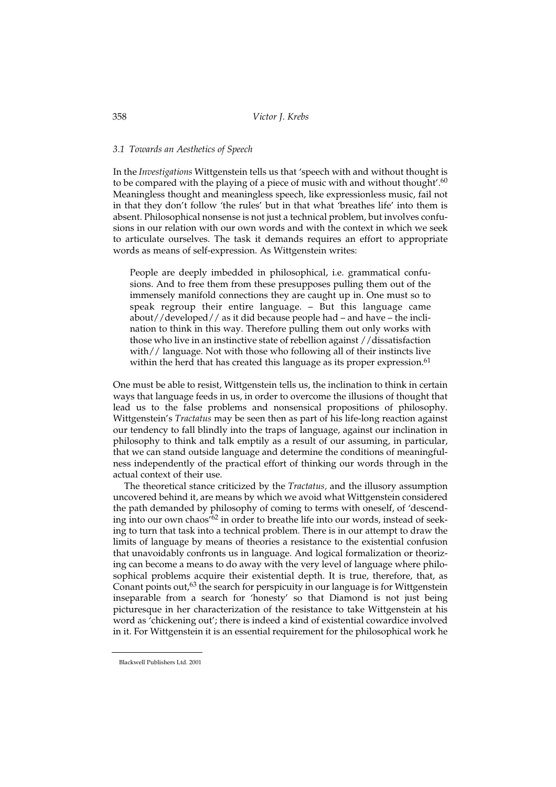## *3.1 Towards an Aesthetics of Speech*

In the *Investigations* Wittgenstein tells us that 'speech with and without thought is to be compared with the playing of a piece of music with and without thought'. $60$ Meaningless thought and meaningless speech, like expressionless music, fail not in that they don't follow 'the rules' but in that what 'breathes life' into them is absent. Philosophical nonsense is not just a technical problem, but involves confusions in our relation with our own words and with the context in which we seek to articulate ourselves. The task it demands requires an effort to appropriate words as means of self-expression. As Wittgenstein writes:

People are deeply imbedded in philosophical, i.e. grammatical confusions. And to free them from these presupposes pulling them out of the immensely manifold connections they are caught up in. One must so to speak regroup their entire language. – But this language came about//developed// as it did because people had – and have – the inclination to think in this way. Therefore pulling them out only works with those who live in an instinctive state of rebellion against //dissatisfaction with// language. Not with those who following all of their instincts live within the herd that has created this language as its proper expression.<sup>61</sup>

One must be able to resist, Wittgenstein tells us, the inclination to think in certain ways that language feeds in us, in order to overcome the illusions of thought that lead us to the false problems and nonsensical propositions of philosophy. Wittgenstein's *Tractatus* may be seen then as part of his life-long reaction against our tendency to fall blindly into the traps of language, against our inclination in philosophy to think and talk emptily as a result of our assuming, in particular, that we can stand outside language and determine the conditions of meaningfulness independently of the practical effort of thinking our words through in the actual context of their use.

The theoretical stance criticized by the *Tractatus,* and the illusory assumption uncovered behind it, are means by which we avoid what Wittgenstein considered the path demanded by philosophy of coming to terms with oneself, of 'descending into our own chaos'62 in order to breathe life into our words, instead of seeking to turn that task into a technical problem. There is in our attempt to draw the limits of language by means of theories a resistance to the existential confusion that unavoidably confronts us in language. And logical formalization or theorizing can become a means to do away with the very level of language where philosophical problems acquire their existential depth. It is true, therefore, that, as Conant points out, $63$  the search for perspicuity in our language is for Wittgenstein inseparable from a search for 'honesty' so that Diamond is not just being picturesque in her characterization of the resistance to take Wittgenstein at his word as 'chickening out'; there is indeed a kind of existential cowardice involved in it. For Wittgenstein it is an essential requirement for the philosophical work he

Blackwell Publishers Ltd. 2001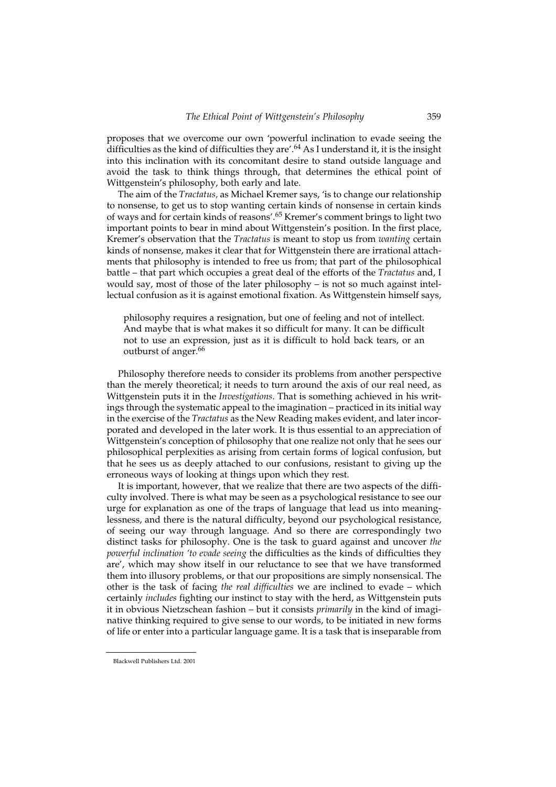proposes that we overcome our own 'powerful inclination to evade seeing the difficulties as the kind of difficulties they are'.<sup>64</sup> As I understand it, it is the insight into this inclination with its concomitant desire to stand outside language and avoid the task to think things through, that determines the ethical point of Wittgenstein's philosophy, both early and late.

The aim of the *Tractatus,* as Michael Kremer says, 'is to change our relationship to nonsense, to get us to stop wanting certain kinds of nonsense in certain kinds of ways and for certain kinds of reasons'.65 Kremer's comment brings to light two important points to bear in mind about Wittgenstein's position. In the first place, Kremer's observation that the *Tractatus* is meant to stop us from *wanting* certain kinds of nonsense, makes it clear that for Wittgenstein there are irrational attachments that philosophy is intended to free us from; that part of the philosophical battle – that part which occupies a great deal of the efforts of the *Tractatus* and, I would say, most of those of the later philosophy – is not so much against intellectual confusion as it is against emotional fixation. As Wittgenstein himself says,

philosophy requires a resignation, but one of feeling and not of intellect. And maybe that is what makes it so difficult for many. It can be difficult not to use an expression, just as it is difficult to hold back tears, or an outburst of anger.<sup>66</sup>

Philosophy therefore needs to consider its problems from another perspective than the merely theoretical; it needs to turn around the axis of our real need, as Wittgenstein puts it in the *Investigations.* That is something achieved in his writings through the systematic appeal to the imagination – practiced in its initial way in the exercise of the *Tractatus* as the New Reading makes evident, and later incorporated and developed in the later work. It is thus essential to an appreciation of Wittgenstein's conception of philosophy that one realize not only that he sees our philosophical perplexities as arising from certain forms of logical confusion, but that he sees us as deeply attached to our confusions, resistant to giving up the erroneous ways of looking at things upon which they rest.

It is important, however, that we realize that there are two aspects of the difficulty involved. There is what may be seen as a psychological resistance to see our urge for explanation as one of the traps of language that lead us into meaninglessness, and there is the natural difficulty, beyond our psychological resistance, of seeing our way through language. And so there are correspondingly two distinct tasks for philosophy. One is the task to guard against and uncover *the powerful inclination 'to evade seeing* the difficulties as the kinds of difficulties they are', which may show itself in our reluctance to see that we have transformed them into illusory problems, or that our propositions are simply nonsensical. The other is the task of facing *the real difficulties* we are inclined to evade – which certainly *includes* fighting our instinct to stay with the herd, as Wittgenstein puts it in obvious Nietzschean fashion – but it consists *primarily* in the kind of imaginative thinking required to give sense to our words, to be initiated in new forms of life or enter into a particular language game. It is a task that is inseparable from

Blackwell Publishers Ltd. 2001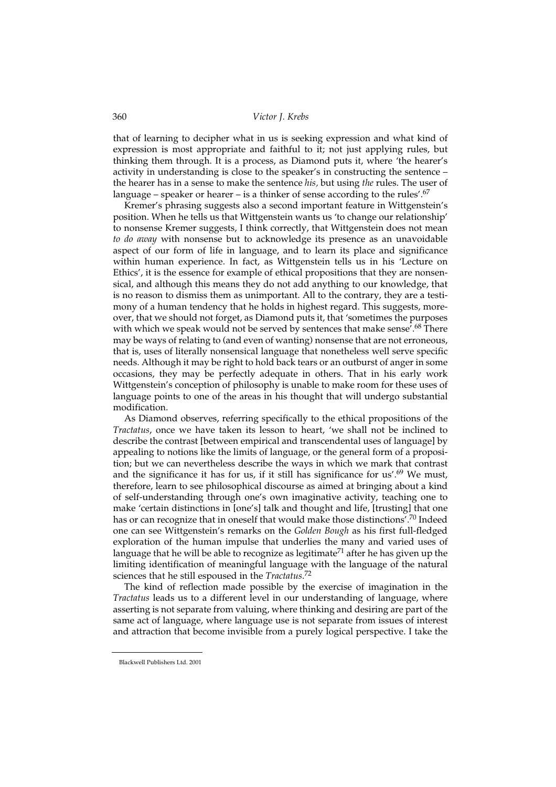that of learning to decipher what in us is seeking expression and what kind of expression is most appropriate and faithful to it; not just applying rules, but thinking them through. It is a process, as Diamond puts it, where 'the hearer's activity in understanding is close to the speaker's in constructing the sentence – the hearer has in a sense to make the sentence *his,* but using *the* rules. The user of language – speaker or hearer – is a thinker of sense according to the rules'.<sup>67</sup>

Kremer's phrasing suggests also a second important feature in Wittgenstein's position. When he tells us that Wittgenstein wants us 'to change our relationship' to nonsense Kremer suggests, I think correctly, that Wittgenstein does not mean *to do away* with nonsense but to acknowledge its presence as an unavoidable aspect of our form of life in language, and to learn its place and significance within human experience. In fact, as Wittgenstein tells us in his 'Lecture on Ethics', it is the essence for example of ethical propositions that they are nonsensical, and although this means they do not add anything to our knowledge, that is no reason to dismiss them as unimportant. All to the contrary, they are a testimony of a human tendency that he holds in highest regard. This suggests, moreover, that we should not forget, as Diamond puts it, that 'sometimes the purposes with which we speak would not be served by sentences that make sense'.<sup>68</sup> There may be ways of relating to (and even of wanting) nonsense that are not erroneous, that is, uses of literally nonsensical language that nonetheless well serve specific needs. Although it may be right to hold back tears or an outburst of anger in some occasions, they may be perfectly adequate in others. That in his early work Wittgenstein's conception of philosophy is unable to make room for these uses of language points to one of the areas in his thought that will undergo substantial modification.

As Diamond observes, referring specifically to the ethical propositions of the *Tractatus*, once we have taken its lesson to heart, 'we shall not be inclined to describe the contrast [between empirical and transcendental uses of language] by appealing to notions like the limits of language, or the general form of a proposition; but we can nevertheless describe the ways in which we mark that contrast and the significance it has for us, if it still has significance for us'.<sup>69</sup> We must, therefore, learn to see philosophical discourse as aimed at bringing about a kind of self-understanding through one's own imaginative activity, teaching one to make 'certain distinctions in [one's] talk and thought and life, [trusting] that one has or can recognize that in oneself that would make those distinctions'.<sup>70</sup> Indeed one can see Wittgenstein's remarks on the *Golden Bough* as his first full-fledged exploration of the human impulse that underlies the many and varied uses of language that he will be able to recognize as legitimate<sup>71</sup> after he has given up the limiting identification of meaningful language with the language of the natural sciences that he still espoused in the *Tractatus*. 72

The kind of reflection made possible by the exercise of imagination in the *Tractatus* leads us to a different level in our understanding of language, where asserting is not separate from valuing, where thinking and desiring are part of the same act of language, where language use is not separate from issues of interest and attraction that become invisible from a purely logical perspective. I take the

Blackwell Publishers Ltd. 2001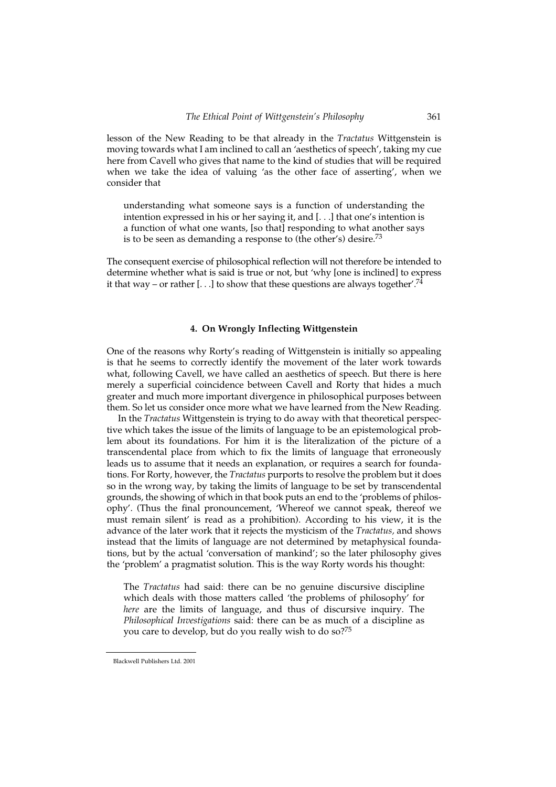lesson of the New Reading to be that already in the *Tractatus* Wittgenstein is moving towards what I am inclined to call an 'aesthetics of speech', taking my cue here from Cavell who gives that name to the kind of studies that will be required when we take the idea of valuing 'as the other face of asserting', when we consider that

understanding what someone says is a function of understanding the intention expressed in his or her saying it, and [. . .] that one's intention is a function of what one wants, [so that] responding to what another says is to be seen as demanding a response to (the other's) desire.73

The consequent exercise of philosophical reflection will not therefore be intended to determine whether what is said is true or not, but 'why [one is inclined] to express it that way – or rather [...] to show that these questions are always together'.<sup>74</sup>

## **4. On Wrongly Inflecting Wittgenstein**

One of the reasons why Rorty's reading of Wittgenstein is initially so appealing is that he seems to correctly identify the movement of the later work towards what, following Cavell, we have called an aesthetics of speech. But there is here merely a superficial coincidence between Cavell and Rorty that hides a much greater and much more important divergence in philosophical purposes between them. So let us consider once more what we have learned from the New Reading*.*

In the *Tractatus* Wittgenstein is trying to do away with that theoretical perspective which takes the issue of the limits of language to be an epistemological problem about its foundations. For him it is the literalization of the picture of a transcendental place from which to fix the limits of language that erroneously leads us to assume that it needs an explanation, or requires a search for foundations. For Rorty, however, the *Tractatus* purports to resolve the problem but it does so in the wrong way, by taking the limits of language to be set by transcendental grounds, the showing of which in that book puts an end to the 'problems of philosophy'. (Thus the final pronouncement, 'Whereof we cannot speak, thereof we must remain silent' is read as a prohibition). According to his view, it is the advance of the later work that it rejects the mysticism of the *Tractatus,* and shows instead that the limits of language are not determined by metaphysical foundations, but by the actual 'conversation of mankind'; so the later philosophy gives the 'problem' a pragmatist solution. This is the way Rorty words his thought:

The *Tractatus* had said: there can be no genuine discursive discipline which deals with those matters called 'the problems of philosophy' for *here* are the limits of language, and thus of discursive inquiry. The *Philosophical Investigations* said: there can be as much of a discipline as you care to develop, but do you really wish to do so?75

Blackwell Publishers Ltd. 2001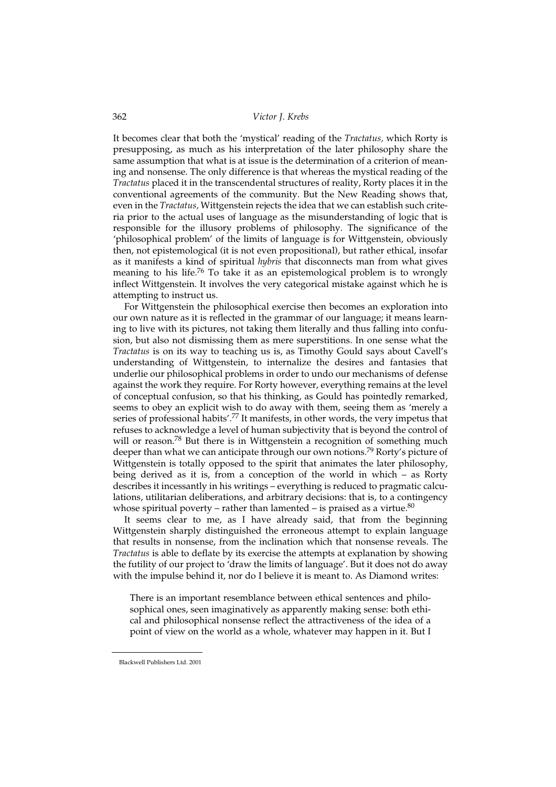It becomes clear that both the 'mystical' reading of the *Tractatus,* which Rorty is presupposing, as much as his interpretation of the later philosophy share the same assumption that what is at issue is the determination of a criterion of meaning and nonsense. The only difference is that whereas the mystical reading of the *Tractatus* placed it in the transcendental structures of reality, Rorty places it in the conventional agreements of the community. But the New Reading shows that, even in the *Tractatus,* Wittgenstein rejects the idea that we can establish such criteria prior to the actual uses of language as the misunderstanding of logic that is responsible for the illusory problems of philosophy. The significance of the 'philosophical problem' of the limits of language is for Wittgenstein, obviously then, not epistemological (it is not even propositional), but rather ethical, insofar as it manifests a kind of spiritual *hybris* that disconnects man from what gives meaning to his life.76 To take it as an epistemological problem is to wrongly inflect Wittgenstein. It involves the very categorical mistake against which he is attempting to instruct us.

For Wittgenstein the philosophical exercise then becomes an exploration into our own nature as it is reflected in the grammar of our language; it means learning to live with its pictures, not taking them literally and thus falling into confusion, but also not dismissing them as mere superstitions. In one sense what the *Tractatus* is on its way to teaching us is, as Timothy Gould says about Cavell's understanding of Wittgenstein, to internalize the desires and fantasies that underlie our philosophical problems in order to undo our mechanisms of defense against the work they require. For Rorty however, everything remains at the level of conceptual confusion, so that his thinking, as Gould has pointedly remarked, seems to obey an explicit wish to do away with them, seeing them as 'merely a series of professional habits'.77 It manifests, in other words, the very impetus that refuses to acknowledge a level of human subjectivity that is beyond the control of will or reason.78 But there is in Wittgenstein a recognition of something much deeper than what we can anticipate through our own notions.<sup>79</sup> Rorty's picture of Wittgenstein is totally opposed to the spirit that animates the later philosophy, being derived as it is, from a conception of the world in which – as Rorty describes it incessantly in his writings – everything is reduced to pragmatic calculations, utilitarian deliberations, and arbitrary decisions: that is, to a contingency whose spiritual poverty – rather than lamented – is praised as a virtue. $80$ 

It seems clear to me, as I have already said, that from the beginning Wittgenstein sharply distinguished the erroneous attempt to explain language that results in nonsense, from the inclination which that nonsense reveals. The *Tractatus* is able to deflate by its exercise the attempts at explanation by showing the futility of our project to 'draw the limits of language'. But it does not do away with the impulse behind it, nor do I believe it is meant to. As Diamond writes:

There is an important resemblance between ethical sentences and philosophical ones, seen imaginatively as apparently making sense: both ethical and philosophical nonsense reflect the attractiveness of the idea of a point of view on the world as a whole, whatever may happen in it. But I

Blackwell Publishers Ltd. 2001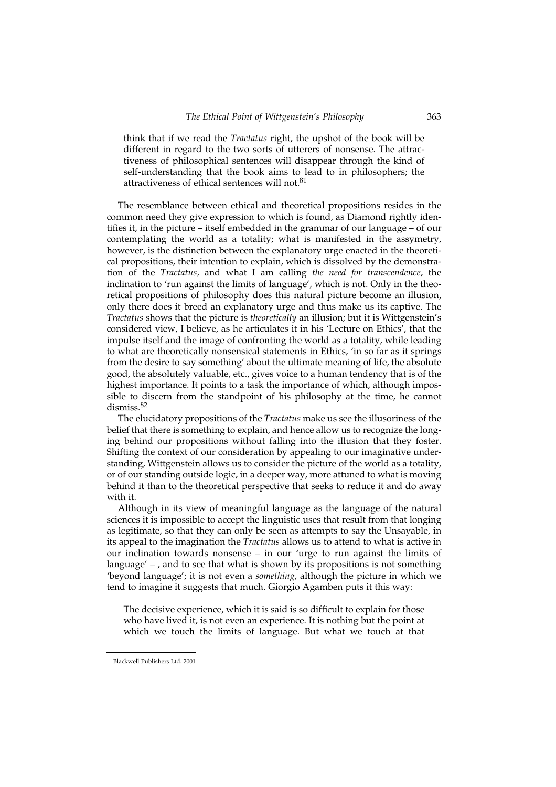think that if we read the *Tractatus* right, the upshot of the book will be different in regard to the two sorts of utterers of nonsense. The attractiveness of philosophical sentences will disappear through the kind of self-understanding that the book aims to lead to in philosophers; the attractiveness of ethical sentences will not.81

The resemblance between ethical and theoretical propositions resides in the common need they give expression to which is found, as Diamond rightly identifies it, in the picture – itself embedded in the grammar of our language – of our contemplating the world as a totality; what is manifested in the assymetry, however, is the distinction between the explanatory urge enacted in the theoretical propositions, their intention to explain, which is dissolved by the demonstration of the *Tractatus,* and what I am calling *the need for transcendence*, the inclination to 'run against the limits of language', which is not. Only in the theoretical propositions of philosophy does this natural picture become an illusion, only there does it breed an explanatory urge and thus make us its captive. The *Tractatus* shows that the picture is *theoretically* an illusion; but it is Wittgenstein's considered view, I believe, as he articulates it in his 'Lecture on Ethics', that the impulse itself and the image of confronting the world as a totality, while leading to what are theoretically nonsensical statements in Ethics, 'in so far as it springs from the desire to say something' about the ultimate meaning of life, the absolute good, the absolutely valuable, etc., gives voice to a human tendency that is of the highest importance. It points to a task the importance of which, although impossible to discern from the standpoint of his philosophy at the time, he cannot dismiss.<sup>82</sup>

The elucidatory propositions of the *Tractatus* make us see the illusoriness of the belief that there is something to explain, and hence allow us to recognize the longing behind our propositions without falling into the illusion that they foster. Shifting the context of our consideration by appealing to our imaginative understanding, Wittgenstein allows us to consider the picture of the world as a totality, or of our standing outside logic, in a deeper way, more attuned to what is moving behind it than to the theoretical perspective that seeks to reduce it and do away with it.

Although in its view of meaningful language as the language of the natural sciences it is impossible to accept the linguistic uses that result from that longing as legitimate, so that they can only be seen as attempts to say the Unsayable, in its appeal to the imagination the *Tractatus* allows us to attend to what is active in our inclination towards nonsense – in our 'urge to run against the limits of language' – , and to see that what is shown by its propositions is not something 'beyond language'; it is not even a *something*, although the picture in which we tend to imagine it suggests that much. Giorgio Agamben puts it this way:

The decisive experience, which it is said is so difficult to explain for those who have lived it, is not even an experience. It is nothing but the point at which we touch the limits of language. But what we touch at that

Blackwell Publishers Ltd. 2001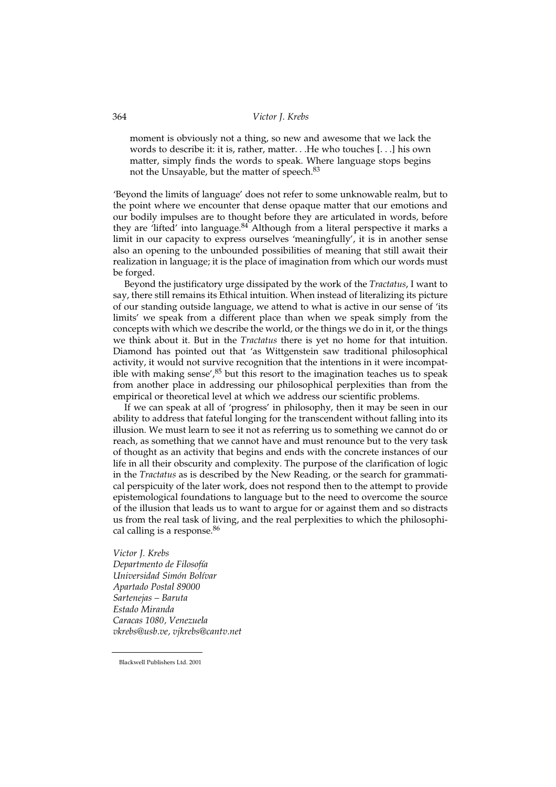#### 364 *Victor J. Krebs*

moment is obviously not a thing, so new and awesome that we lack the words to describe it: it is, rather, matter. . .He who touches [. . .] his own matter, simply finds the words to speak. Where language stops begins not the Unsayable, but the matter of speech.<sup>83</sup>

'Beyond the limits of language' does not refer to some unknowable realm, but to the point where we encounter that dense opaque matter that our emotions and our bodily impulses are to thought before they are articulated in words, before they are 'lifted' into language.<sup>84</sup> Although from a literal perspective it marks a limit in our capacity to express ourselves 'meaningfully', it is in another sense also an opening to the unbounded possibilities of meaning that still await their realization in language; it is the place of imagination from which our words must be forged.

Beyond the justificatory urge dissipated by the work of the *Tractatus*, I want to say, there still remains its Ethical intuition. When instead of literalizing its picture of our standing outside language, we attend to what is active in our sense of 'its limits' we speak from a different place than when we speak simply from the concepts with which we describe the world, or the things we do in it, or the things we think about it. But in the *Tractatus* there is yet no home for that intuition. Diamond has pointed out that 'as Wittgenstein saw traditional philosophical activity, it would not survive recognition that the intentions in it were incompatible with making sense', $85$  but this resort to the imagination teaches us to speak from another place in addressing our philosophical perplexities than from the empirical or theoretical level at which we address our scientific problems.

If we can speak at all of 'progress' in philosophy, then it may be seen in our ability to address that fateful longing for the transcendent without falling into its illusion. We must learn to see it not as referring us to something we cannot do or reach, as something that we cannot have and must renounce but to the very task of thought as an activity that begins and ends with the concrete instances of our life in all their obscurity and complexity. The purpose of the clarification of logic in the *Tractatus* as is described by the New Reading*,* or the search for grammatical perspicuity of the later work, does not respond then to the attempt to provide epistemological foundations to language but to the need to overcome the source of the illusion that leads us to want to argue for or against them and so distracts us from the real task of living, and the real perplexities to which the philosophical calling is a response.<sup>86</sup>

*Victor J. Krebs Departmento de Filosofía Universidad Simón Bolívar Apartado Postal 89000 Sartenejas – Baruta Estado Miranda Caracas 1080, Venezuela vkrebs@usb.ve, vjkrebs@cantv.net*

Blackwell Publishers Ltd. 2001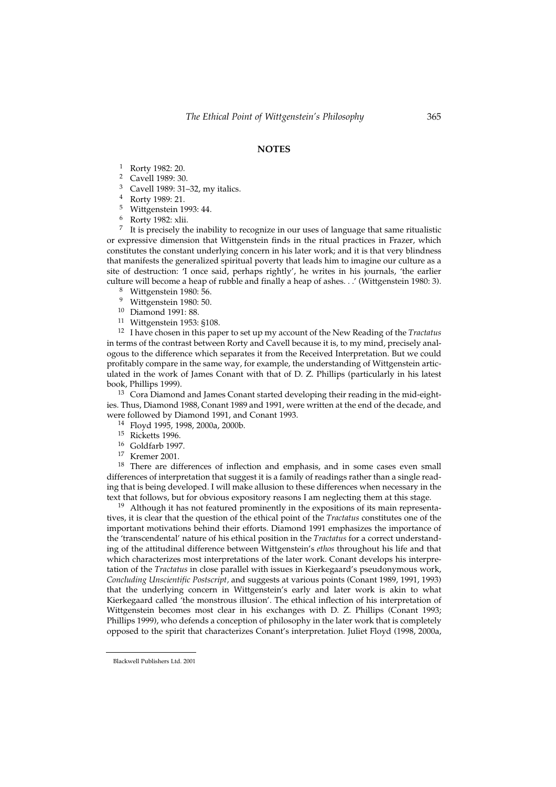#### **NOTES**

- <sup>1</sup> Rorty 1982: 20.
- <sup>2</sup> Cavell 1989: 30.
- <sup>3</sup> Cavell 1989: 31–32, my italics.
- <sup>4</sup> Rorty 1989: 21.
- <sup>5</sup> Wittgenstein 1993: 44.
- <sup>6</sup> Rorty 1982: xlii.

 $7$  It is precisely the inability to recognize in our uses of language that same ritualistic or expressive dimension that Wittgenstein finds in the ritual practices in Frazer, which constitutes the constant underlying concern in his later work; and it is that very blindness that manifests the generalized spiritual poverty that leads him to imagine our culture as a site of destruction: 'I once said, perhaps rightly', he writes in his journals, 'the earlier culture will become a heap of rubble and finally a heap of ashes. . .' (Wittgenstein 1980: 3).

- <sup>8</sup> Wittgenstein 1980: 56.
- <sup>9</sup> Wittgenstein 1980: 50.
- <sup>10</sup> Diamond 1991: 88.
- <sup>11</sup> Wittgenstein 1953: §108.

<sup>12</sup> I have chosen in this paper to set up my account of the New Reading of the *Tractatus* in terms of the contrast between Rorty and Cavell because it is, to my mind, precisely analogous to the difference which separates it from the Received Interpretation. But we could profitably compare in the same way, for example, the understanding of Wittgenstein articulated in the work of James Conant with that of D. Z. Phillips (particularly in his latest book, Phillips 1999).

<sup>13</sup> Cora Diamond and James Conant started developing their reading in the mid-eighties. Thus, Diamond 1988, Conant 1989 and 1991, were written at the end of the decade, and were followed by Diamond 1991, and Conant 1993.

- <sup>14</sup> Floyd 1995, 1998, 2000a, 2000b.
- <sup>15</sup> Ricketts 1996.
- <sup>16</sup> Goldfarb 1997.
- <sup>17</sup> Kremer 2001.

<sup>18</sup> There are differences of inflection and emphasis, and in some cases even small differences of interpretation that suggest it is a family of readings rather than a single reading that is being developed. I will make allusion to these differences when necessary in the text that follows, but for obvious expository reasons I am neglecting them at this stage.

 $19$  Although it has not featured prominently in the expositions of its main representatives, it is clear that the question of the ethical point of the *Tractatus* constitutes one of the important motivations behind their efforts. Diamond 1991 emphasizes the importance of the 'transcendental' nature of his ethical position in the *Tractatus* for a correct understanding of the attitudinal difference between Wittgenstein's *ethos* throughout his life and that which characterizes most interpretations of the later work. Conant develops his interpretation of the *Tractatus* in close parallel with issues in Kierkegaard's pseudonymous work, *Concluding Unscientific Postscript,* and suggests at various points (Conant 1989, 1991, 1993) that the underlying concern in Wittgenstein's early and later work is akin to what Kierkegaard called 'the monstrous illusion'. The ethical inflection of his interpretation of Wittgenstein becomes most clear in his exchanges with D. Z. Phillips (Conant 1993; Phillips 1999), who defends a conception of philosophy in the later work that is completely opposed to the spirit that characterizes Conant's interpretation. Juliet Floyd (1998, 2000a,

Blackwell Publishers Ltd. 2001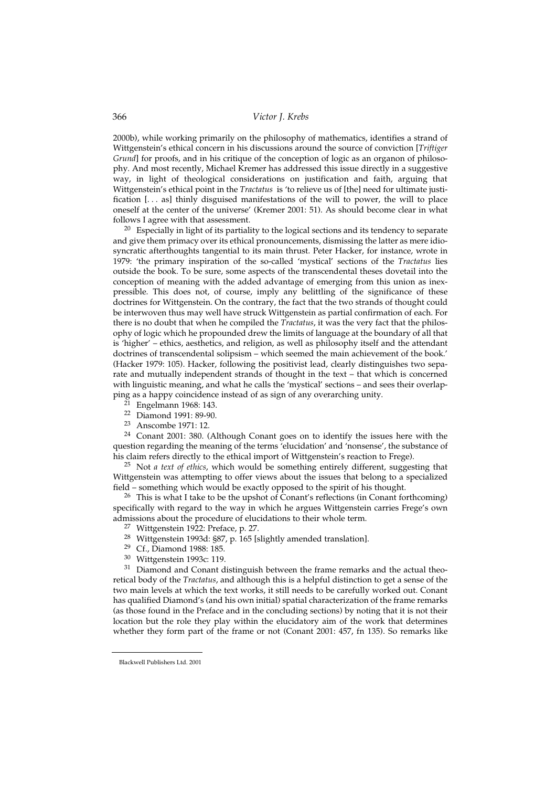2000b), while working primarily on the philosophy of mathematics, identifies a strand of Wittgenstein's ethical concern in his discussions around the source of conviction [*Triftiger Grund*] for proofs, and in his critique of the conception of logic as an organon of philosophy. And most recently, Michael Kremer has addressed this issue directly in a suggestive way, in light of theological considerations on justification and faith, arguing that Wittgenstein's ethical point in the *Tractatus* is 'to relieve us of [the] need for ultimate justification  $[...]$  as] thinly disguised manifestations of the will to power, the will to place oneself at the center of the universe' (Kremer 2001: 51). As should become clear in what follows I agree with that assessment.

<sup>20</sup> Especially in light of its partiality to the logical sections and its tendency to separate and give them primacy over its ethical pronouncements, dismissing the latter as mere idiosyncratic afterthoughts tangential to its main thrust. Peter Hacker, for instance, wrote in 1979: 'the primary inspiration of the so-called 'mystical' sections of the *Tractatus* lies outside the book. To be sure, some aspects of the transcendental theses dovetail into the conception of meaning with the added advantage of emerging from this union as inexpressible. This does not, of course, imply any belittling of the significance of these doctrines for Wittgenstein. On the contrary, the fact that the two strands of thought could be interwoven thus may well have struck Wittgenstein as partial confirmation of each. For there is no doubt that when he compiled the *Tractatus*, it was the very fact that the philosophy of logic which he propounded drew the limits of language at the boundary of all that is 'higher' – ethics, aesthetics, and religion, as well as philosophy itself and the attendant doctrines of transcendental solipsism – which seemed the main achievement of the book.' (Hacker 1979: 105). Hacker, following the positivist lead, clearly distinguishes two separate and mutually independent strands of thought in the text – that which is concerned with linguistic meaning, and what he calls the 'mystical' sections – and sees their overlapping as a happy coincidence instead of as sign of any overarching unity.

- $^{21}$  Engelmann 1968: 143.
- <sup>22</sup> Diamond 1991: 89-90.
- <sup>23</sup> Anscombe 1971: 12.

<sup>24</sup> Conant 2001: 380. (Although Conant goes on to identify the issues here with the question regarding the meaning of the terms 'elucidation' and 'nonsense', the substance of his claim refers directly to the ethical import of Wittgenstein's reaction to Frege).

<sup>25</sup> Not *a text of ethics*, which would be something entirely different, suggesting that Wittgenstein was attempting to offer views about the issues that belong to a specialized field – something which would be exactly opposed to the spirit of his thought.

<sup>26</sup> This is what I take to be the upshot of Conant's reflections (in Conant forthcoming) specifically with regard to the way in which he argues Wittgenstein carries Frege's own admissions about the procedure of elucidations to their whole term.

- <sup>27</sup> Wittgenstein 1922: Preface, p. 27.
- <sup>28</sup> Wittgenstein 1993d: §87, p. 165 [slightly amended translation].
- <sup>29</sup> Cf., Diamond 1988: 185.
- <sup>30</sup> Wittgenstein 1993c: 119.

 $31$  Diamond and Conant distinguish between the frame remarks and the actual theoretical body of the *Tractatus*, and although this is a helpful distinction to get a sense of the two main levels at which the text works, it still needs to be carefully worked out. Conant has qualified Diamond's (and his own initial) spatial characterization of the frame remarks (as those found in the Preface and in the concluding sections) by noting that it is not their location but the role they play within the elucidatory aim of the work that determines whether they form part of the frame or not (Conant 2001: 457, fn 135). So remarks like

Blackwell Publishers Ltd. 2001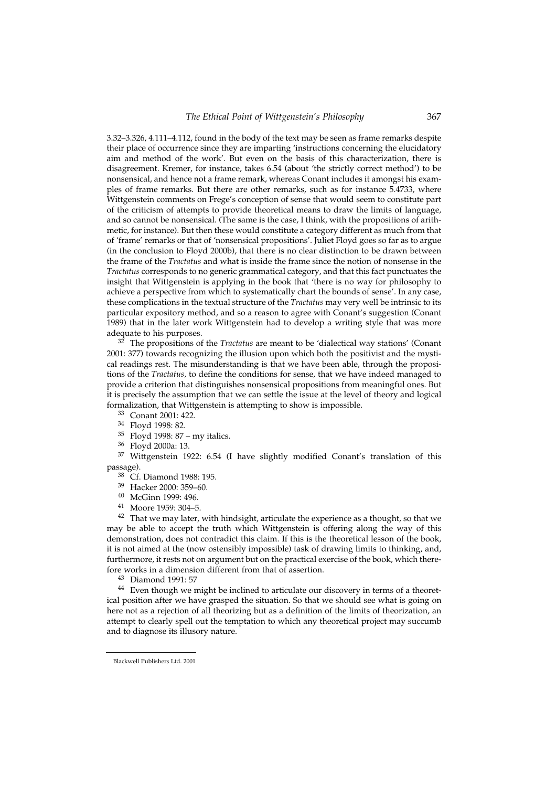3.32–3.326, 4.111–4.112, found in the body of the text may be seen as frame remarks despite their place of occurrence since they are imparting 'instructions concerning the elucidatory aim and method of the work'. But even on the basis of this characterization, there is disagreement. Kremer, for instance, takes 6.54 (about 'the strictly correct method') to be nonsensical, and hence not a frame remark, whereas Conant includes it amongst his examples of frame remarks. But there are other remarks, such as for instance 5.4733, where Wittgenstein comments on Frege's conception of sense that would seem to constitute part of the criticism of attempts to provide theoretical means to draw the limits of language, and so cannot be nonsensical. (The same is the case, I think, with the propositions of arithmetic, for instance). But then these would constitute a category different as much from that of 'frame' remarks or that of 'nonsensical propositions'. Juliet Floyd goes so far as to argue (in the conclusion to Floyd 2000b), that there is no clear distinction to be drawn between the frame of the *Tractatus* and what is inside the frame since the notion of nonsense in the *Tractatus* corresponds to no generic grammatical category, and that this fact punctuates the insight that Wittgenstein is applying in the book that 'there is no way for philosophy to achieve a perspective from which to systematically chart the bounds of sense'. In any case, these complications in the textual structure of the *Tractatus* may very well be intrinsic to its particular expository method, and so a reason to agree with Conant's suggestion (Conant 1989) that in the later work Wittgenstein had to develop a writing style that was more adequate to his purposes.

<sup>32</sup> The propositions of the *Tractatus* are meant to be 'dialectical way stations' (Conant 2001: 377) towards recognizing the illusion upon which both the positivist and the mystical readings rest. The misunderstanding is that we have been able, through the propositions of the *Tractatus,* to define the conditions for sense, that we have indeed managed to provide a criterion that distinguishes nonsensical propositions from meaningful ones. But it is precisely the assumption that we can settle the issue at the level of theory and logical formalization, that Wittgenstein is attempting to show is impossible.

- <sup>33</sup> Conant 2001: 422.
- <sup>34</sup> Floyd 1998: 82.
- <sup>35</sup> Floyd 1998: 87 my italics.
- <sup>36</sup> Floyd 2000a: 13.

 $37$  Wittgenstein 1922: 6.54 (I have slightly modified Conant's translation of this passage).

- <sup>38</sup> Cf. Diamond 1988: 195.
- <sup>39</sup> Hacker 2000: 359–60.
- <sup>40</sup> McGinn 1999: 496.
- <sup>41</sup> Moore 1959: 304–5.

 $42$  That we may later, with hindsight, articulate the experience as a thought, so that we may be able to accept the truth which Wittgenstein is offering along the way of this demonstration, does not contradict this claim. If this is the theoretical lesson of the book, it is not aimed at the (now ostensibly impossible) task of drawing limits to thinking, and, furthermore, it rests not on argument but on the practical exercise of the book, which therefore works in a dimension different from that of assertion.

<sup>43</sup> Diamond 1991: 57

<sup>44</sup> Even though we might be inclined to articulate our discovery in terms of a theoretical position after we have grasped the situation. So that we should see what is going on here not as a rejection of all theorizing but as a definition of the limits of theorization, an attempt to clearly spell out the temptation to which any theoretical project may succumb and to diagnose its illusory nature.

Blackwell Publishers Ltd. 2001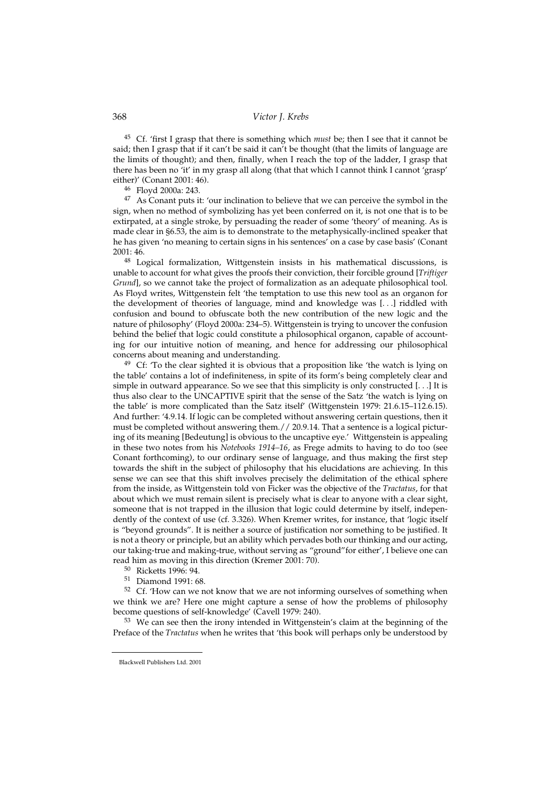<sup>45</sup> Cf. 'first I grasp that there is something which *must* be; then I see that it cannot be said; then I grasp that if it can't be said it can't be thought (that the limits of language are the limits of thought); and then, finally, when I reach the top of the ladder, I grasp that there has been no 'it' in my grasp all along (that that which I cannot think I cannot 'grasp' either)' (Conant 2001: 46).

<sup>46</sup> Floyd 2000a: 243.

 $47$  As Conant puts it: 'our inclination to believe that we can perceive the symbol in the sign, when no method of symbolizing has yet been conferred on it, is not one that is to be extirpated, at a single stroke, by persuading the reader of some 'theory' of meaning. As is made clear in §6.53, the aim is to demonstrate to the metaphysically-inclined speaker that he has given 'no meaning to certain signs in his sentences' on a case by case basis' (Conant 2001: 46.

<sup>48</sup> Logical formalization, Wittgenstein insists in his mathematical discussions, is unable to account for what gives the proofs their conviction, their forcible ground [*Triftiger Grund*], so we cannot take the project of formalization as an adequate philosophical tool. As Floyd writes, Wittgenstein felt 'the temptation to use this new tool as an organon for the development of theories of language, mind and knowledge was [. . .] riddled with confusion and bound to obfuscate both the new contribution of the new logic and the nature of philosophy' (Floyd 2000a: 234–5). Wittgenstein is trying to uncover the confusion behind the belief that logic could constitute a philosophical organon, capable of accounting for our intuitive notion of meaning, and hence for addressing our philosophical concerns about meaning and understanding.

 $49$  Cf: 'To the clear sighted it is obvious that a proposition like 'the watch is lying on the table' contains a lot of indefiniteness, in spite of its form's being completely clear and simple in outward appearance. So we see that this simplicity is only constructed [. . .] It is thus also clear to the UNCAPTIVE spirit that the sense of the Satz 'the watch is lying on the table' is more complicated than the Satz itself' (Wittgenstein 1979: 21.6.15–112.6.15). And further: '4.9.14. If logic can be completed without answering certain questions, then it must be completed without answering them.// 20.9.14. That a sentence is a logical picturing of its meaning [Bedeutung] is obvious to the uncaptive eye.' Wittgenstein is appealing in these two notes from his *Notebooks 1914–16*, as Frege admits to having to do too (see Conant forthcoming), to our ordinary sense of language, and thus making the first step towards the shift in the subject of philosophy that his elucidations are achieving. In this sense we can see that this shift involves precisely the delimitation of the ethical sphere from the inside, as Wittgenstein told von Ficker was the objective of the *Tractatus*, for that about which we must remain silent is precisely what is clear to anyone with a clear sight, someone that is not trapped in the illusion that logic could determine by itself, independently of the context of use (cf. 3.326). When Kremer writes, for instance, that 'logic itself is "beyond grounds". It is neither a source of justification nor something to be justified. It is not a theory or principle, but an ability which pervades both our thinking and our acting, our taking-true and making-true, without serving as "ground"for either', I believe one can read him as moving in this direction (Kremer 2001: 70).

- <sup>50</sup> Ricketts 1996: 94.
- <sup>51</sup> Diamond 1991: 68.

 $52$  Cf. 'How can we not know that we are not informing ourselves of something when we think we are? Here one might capture a sense of how the problems of philosophy become questions of self-knowledge' (Cavell 1979: 240).

<sup>53</sup> We can see then the irony intended in Wittgenstein's claim at the beginning of the Preface of the *Tractatus* when he writes that 'this book will perhaps only be understood by

Blackwell Publishers Ltd. 2001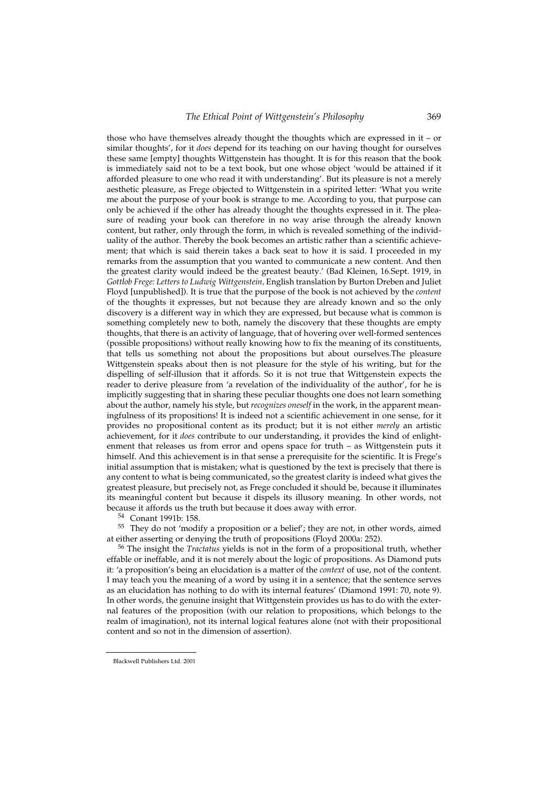those who have themselves already thought the thoughts which are expressed in  $it - or$ similar thoughts', for it *does* depend for its teaching on our having thought for ourselves these same [empty] thoughts Wittgenstein has thought. It is for this reason that the book is immediately said not to be a text book, but one whose object 'would be attained if it afforded pleasure to one who read it with understanding'. But its pleasure is not a merely aesthetic pleasure, as Frege objected to Wittgenstein in a spirited letter: 'What you write me about the purpose of your book is strange to me. According to you, that purpose can only be achieved if the other has already thought the thoughts expressed in it. The pleasure of reading your book can therefore in no way arise through the already known content, but rather, only through the form, in which is revealed something of the individuality of the author. Thereby the book becomes an artistic rather than a scientific achievement; that which is said therein takes a back seat to how it is said. I proceeded in my remarks from the assumption that you wanted to communicate a new content. And then the greatest clarity would indeed be the greatest beauty.' (Bad Kleinen, 16.Sept. 1919, in *Gottlob Frege: Letters to Ludwig Wittgenstein,* English translation by Burton Dreben and Juliet Floyd [unpublished]). It is true that the purpose of the book is not achieved by the *content* of the thoughts it expresses, but not because they are already known and so the only discovery is a different way in which they are expressed, but because what is common is something completely new to both, namely the discovery that these thoughts are empty thoughts, that there is an activity of language, that of hovering over well-formed sentences (possible propositions) without really knowing how to fix the meaning of its constituents, that tells us something not about the propositions but about ourselves.The pleasure Wittgenstein speaks about then is not pleasure for the style of his writing, but for the dispelling of self-illusion that it affords. So it is not true that Wittgenstein expects the reader to derive pleasure from 'a revelation of the individuality of the author', for he is implicitly suggesting that in sharing these peculiar thoughts one does not learn something about the author, namely his style, but *recognizes oneself* in the work, in the apparent meaningfulness of its propositions! It is indeed not a scientific achievement in one sense, for it provides no propositional content as its product; but it is not either *merely* an artistic achievement, for it *does* contribute to our understanding, it provides the kind of enlightenment that releases us from error and opens space for truth – as Wittgenstein puts it himself. And this achievement is in that sense a prerequisite for the scientific. It is Frege's initial assumption that is mistaken; what is questioned by the text is precisely that there is any content to what is being communicated, so the greatest clarity is indeed what gives the greatest pleasure, but precisely not, as Frege concluded it should be, because it illuminates its meaningful content but because it dispels its illusory meaning. In other words, not because it affords us the truth but because it does away with error.

<sup>54</sup> Conant 1991b: 158.

<sup>55</sup> They do not 'modify a proposition or a belief'; they are not, in other words, aimed at either asserting or denying the truth of propositions (Floyd 2000a: 252).

<sup>56</sup> The insight the *Tractatus* yields is not in the form of a propositional truth, whether effable or ineffable, and it is not merely about the logic of propositions. As Diamond puts it: 'a proposition's being an elucidation is a matter of the *context* of use, not of the content. I may teach you the meaning of a word by using it in a sentence; that the sentence serves as an elucidation has nothing to do with its internal features' (Diamond 1991: 70, note 9). In other words, the genuine insight that Wittgenstein provides us has to do with the external features of the proposition (with our relation to propositions, which belongs to the realm of imagination), not its internal logical features alone (not with their propositional content and so not in the dimension of assertion).

Blackwell Publishers Ltd. 2001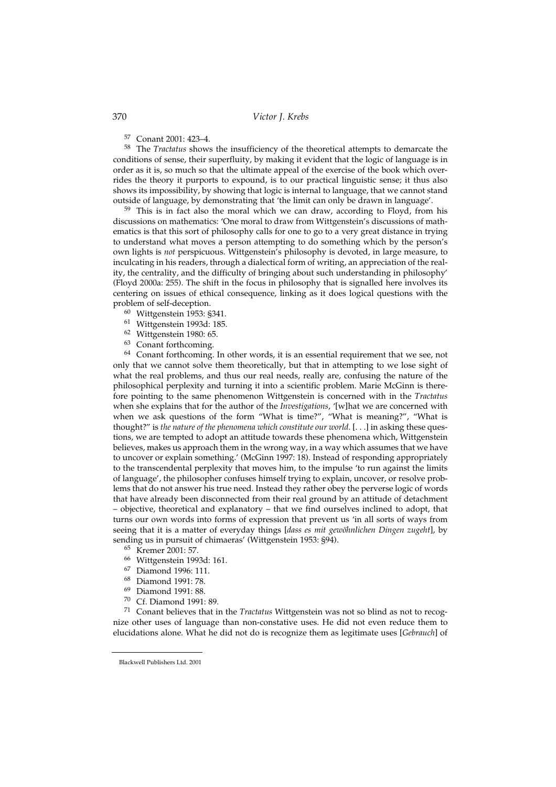<sup>57</sup> Conant 2001: 423–4.

<sup>58</sup> The *Tractatus* shows the insufficiency of the theoretical attempts to demarcate the conditions of sense, their superfluity, by making it evident that the logic of language is in order as it is, so much so that the ultimate appeal of the exercise of the book which overrides the theory it purports to expound, is to our practical linguistic sense; it thus also shows its impossibility, by showing that logic is internal to language, that we cannot stand outside of language, by demonstrating that 'the limit can only be drawn in language'.

 $59$  This is in fact also the moral which we can draw, according to Floyd, from his discussions on mathematics: 'One moral to draw from Wittgenstein's discussions of mathematics is that this sort of philosophy calls for one to go to a very great distance in trying to understand what moves a person attempting to do something which by the person's own lights is *not* perspicuous. Wittgenstein's philosophy is devoted, in large measure, to inculcating in his readers, through a dialectical form of writing, an appreciation of the reality, the centrality, and the difficulty of bringing about such understanding in philosophy' (Floyd 2000a: 255). The shift in the focus in philosophy that is signalled here involves its centering on issues of ethical consequence, linking as it does logical questions with the problem of self-deception.

- <sup>60</sup> Wittgenstein 1953: §341.
- <sup>61</sup> Wittgenstein 1993d: 185.
- <sup>62</sup> Wittgenstein 1980: 65.
- <sup>63</sup> Conant forthcoming.

<sup>64</sup> Conant forthcoming. In other words, it is an essential requirement that we see, not only that we cannot solve them theoretically, but that in attempting to we lose sight of what the real problems, and thus our real needs, really are, confusing the nature of the philosophical perplexity and turning it into a scientific problem. Marie McGinn is therefore pointing to the same phenomenon Wittgenstein is concerned with in the *Tractatus* when she explains that for the author of the *Investigations*, '[w]hat we are concerned with when we ask questions of the form "What is time?", "What is meaning?", "What is thought?" is *the nature of the phenomena which constitute our world*. [...] in asking these questions, we are tempted to adopt an attitude towards these phenomena which, Wittgenstein believes, makes us approach them in the wrong way, in a way which assumes that we have to uncover or explain something.' (McGinn 1997: 18). Instead of responding appropriately to the transcendental perplexity that moves him, to the impulse 'to run against the limits of language', the philosopher confuses himself trying to explain, uncover, or resolve problems that do not answer his true need. Instead they rather obey the perverse logic of words that have already been disconnected from their real ground by an attitude of detachment – objective, theoretical and explanatory – that we find ourselves inclined to adopt, that turns our own words into forms of expression that prevent us 'in all sorts of ways from seeing that it is a matter of everyday things [*dass es mit gewöhnlichen Dingen zugeht*], by sending us in pursuit of chimaeras' (Wittgenstein 1953: §94).

- <sup>65</sup> Kremer 2001: 57.
- <sup>66</sup> Wittgenstein 1993d: 161.
- <sup>67</sup> Diamond 1996: 111.
- <sup>68</sup> Diamond 1991: 78.
- <sup>69</sup> Diamond 1991: 88.
- <sup>70</sup> Cf. Diamond 1991: 89.

<sup>71</sup> Conant believes that in the *Tractatus* Wittgenstein was not so blind as not to recognize other uses of language than non-constative uses. He did not even reduce them to elucidations alone. What he did not do is recognize them as legitimate uses [*Gebrauch*] of

Blackwell Publishers Ltd. 2001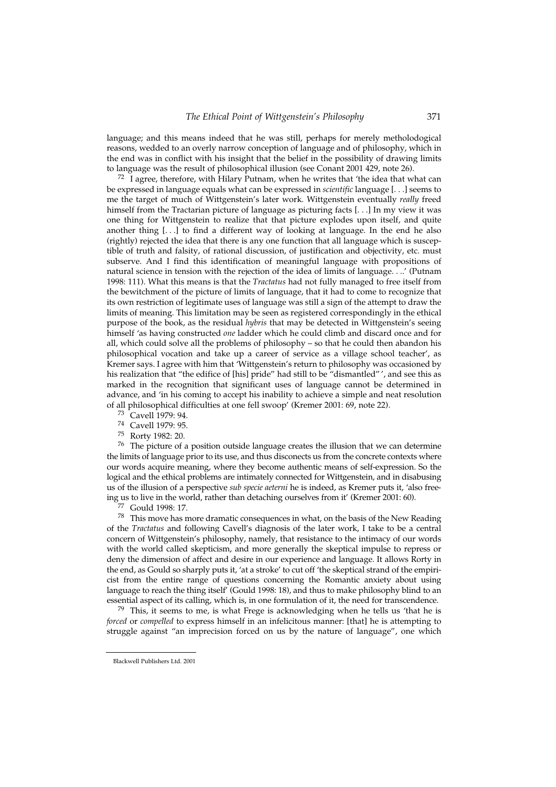language; and this means indeed that he was still, perhaps for merely metholodogical reasons, wedded to an overly narrow conception of language and of philosophy, which in the end was in conflict with his insight that the belief in the possibility of drawing limits to language was the result of philosophical illusion (see Conant 2001 429, note 26).

 $72$  I agree, therefore, with Hilary Putnam, when he writes that 'the idea that what can be expressed in language equals what can be expressed in *scientific* language [. . .] seems to me the target of much of Wittgenstein's later work. Wittgenstein eventually *really* freed himself from the Tractarian picture of language as picturing facts [...] In my view it was one thing for Wittgenstein to realize that that picture explodes upon itself, and quite another thing [. . .] to find a different way of looking at language. In the end he also (rightly) rejected the idea that there is any one function that all language which is susceptible of truth and falsity, of rational discussion, of justification and objectivity, etc. must subserve. And I find this identification of meaningful language with propositions of natural science in tension with the rejection of the idea of limits of language. . ..' (Putnam 1998: 111). What this means is that the *Tractatus* had not fully managed to free itself from the bewitchment of the picture of limits of language, that it had to come to recognize that its own restriction of legitimate uses of language was still a sign of the attempt to draw the limits of meaning. This limitation may be seen as registered correspondingly in the ethical purpose of the book, as the residual *hybris* that may be detected in Wittgenstein's seeing himself 'as having constructed *one* ladder which he could climb and discard once and for all, which could solve all the problems of philosophy – so that he could then abandon his philosophical vocation and take up a career of service as a village school teacher', as Kremer says. I agree with him that 'Wittgenstein's return to philosophy was occasioned by his realization that "the edifice of [his] pride" had still to be "dismantled" ', and see this as marked in the recognition that significant uses of language cannot be determined in advance, and 'in his coming to accept his inability to achieve a simple and neat resolution of all philosophical difficulties at one fell swoop' (Kremer 2001: 69, note 22).

- <sup>73</sup> Cavell 1979: 94.
- <sup>74</sup> Cavell 1979: 95.
- <sup>75</sup> Rorty 1982: 20.

 $76$  The picture of a position outside language creates the illusion that we can determine the limits of language prior to its use, and thus disconects us from the concrete contexts where our words acquire meaning, where they become authentic means of self-expression. So the logical and the ethical problems are intimately connected for Wittgenstein, and in disabusing us of the illusion of a perspective *sub specie aeterni* he is indeed, as Kremer puts it, 'also freeing us to live in the world, rather than detaching ourselves from it' (Kremer 2001: 60).

<sup>77</sup> Gould 1998: 17.

 $78$  This move has more dramatic consequences in what, on the basis of the New Reading of the *Tractatus* and following Cavell's diagnosis of the later work, I take to be a central concern of Wittgenstein's philosophy, namely, that resistance to the intimacy of our words with the world called skepticism, and more generally the skeptical impulse to repress or deny the dimension of affect and desire in our experience and language. It allows Rorty in the end, as Gould so sharply puts it, 'at a stroke' to cut off 'the skeptical strand of the empiricist from the entire range of questions concerning the Romantic anxiety about using language to reach the thing itself' (Gould 1998: 18), and thus to make philosophy blind to an essential aspect of its calling, which is, in one formulation of it, the need for transcendence.

 $79$  This, it seems to me, is what Frege is acknowledging when he tells us 'that he is *forced* or *compelled* to express himself in an infelicitous manner: [that] he is attempting to struggle against "an imprecision forced on us by the nature of language", one which

Blackwell Publishers Ltd. 2001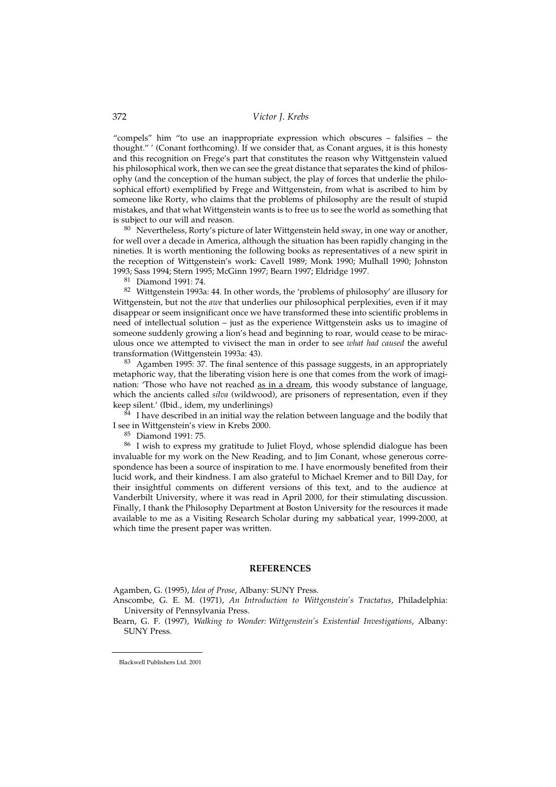"compels" him "to use an inappropriate expression which obscures – falsifies – the thought." ' (Conant forthcoming). If we consider that, as Conant argues, it is this honesty and this recognition on Frege's part that constitutes the reason why Wittgenstein valued his philosophical work, then we can see the great distance that separates the kind of philosophy (and the conception of the human subject, the play of forces that underlie the philosophical effort) exemplified by Frege and Wittgenstein, from what is ascribed to him by someone like Rorty, who claims that the problems of philosophy are the result of stupid mistakes, and that what Wittgenstein wants is to free us to see the world as something that is subject to our will and reason.

 $80$  Nevertheless, Rorty's picture of later Wittgenstein held sway, in one way or another, for well over a decade in America, although the situation has been rapidly changing in the nineties. It is worth mentioning the following books as representatives of a new spirit in the reception of Wittgenstein's work: Cavell 1989; Monk 1990; Mulhall 1990; Johnston 1993; Sass 1994; Stern 1995; McGinn 1997; Bearn 1997; Eldridge 1997.

<sup>81</sup> Diamond 1991: 74.

<sup>82</sup> Wittgenstein 1993a: 44. In other words, the 'problems of philosophy' are illusory for Wittgenstein, but not the *awe* that underlies our philosophical perplexities, even if it may disappear or seem insignificant once we have transformed these into scientific problems in need of intellectual solution – just as the experience Wittgenstein asks us to imagine of someone suddenly growing a lion's head and beginning to roar, would cease to be miraculous once we attempted to vivisect the man in order to see *what had caused* the aweful transformation (Wittgenstein 1993a: 43).

<sup>83</sup> Agamben 1995: 37. The final sentence of this passage suggests, in an appropriately metaphoric way, that the liberating vision here is one that comes from the work of imagination: 'Those who have not reached as in a dream, this woody substance of language, which the ancients called *silva* (wildwood), are prisoners of representation, even if they keep silent.' (Ibid., idem, my underlinings)

 $84$  I have described in an initial way the relation between language and the bodily that I see in Wittgenstein's view in Krebs 2000.

<sup>85</sup> Diamond 1991: 75.

<sup>86</sup> I wish to express my gratitude to Juliet Floyd, whose splendid dialogue has been invaluable for my work on the New Reading, and to Jim Conant, whose generous correspondence has been a source of inspiration to me. I have enormously benefited from their lucid work, and their kindness. I am also grateful to Michael Kremer and to Bill Day, for their insightful comments on different versions of this text, and to the audience at Vanderbilt University, where it was read in April 2000, for their stimulating discussion. Finally, I thank the Philosophy Department at Boston University for the resources it made available to me as a Visiting Research Scholar during my sabbatical year, 1999-2000, at which time the present paper was written.

#### **REFERENCES**

Agamben, G. (1995), *Idea of Prose*, Albany: SUNY Press.

Anscombe, G. E. M. (1971), *An Introduction to Wittgenstein's Tractatus*, Philadelphia: University of Pennsylvania Press.

Bearn, G. F. (1997), *Walking to Wonder: Wittgenstein's Existential Investigations*, Albany: SUNY Press.

Blackwell Publishers Ltd. 2001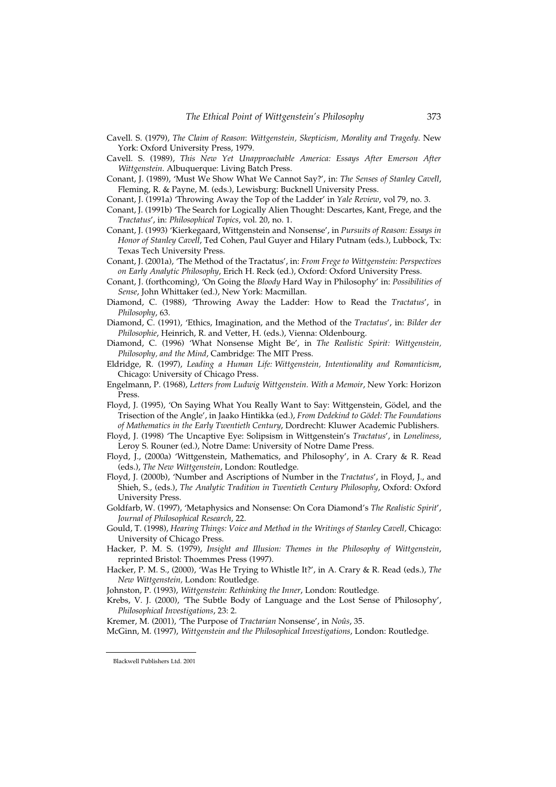- Cavell. S. (1979), *The Claim of Reason*: *Wittgenstein, Skepticism, Morality and Tragedy*. New York: Oxford University Press, 1979.
- Cavell. S. (1989), *This New Yet Unapproachable America: Essays After Emerson After Wittgenstein*. Albuquerque: Living Batch Press.
- Conant, J. (1989), 'Must We Show What We Cannot Say?', in: *The Senses of Stanley Cavell*, Fleming, R. & Payne, M. (eds.), Lewisburg: Bucknell University Press.
- Conant, J. (1991a) 'Throwing Away the Top of the Ladder' in *Yale Review*, vol 79, no. 3.
- Conant, J. (1991b) 'The Search for Logically Alien Thought: Descartes, Kant, Frege, and the *Tractatus*', in: *Philosophical Topics*, vol. 20, no. 1.
- Conant, J. (1993) 'Kierkegaard, Wittgenstein and Nonsense', in *Pursuits of Reason: Essays in Honor of Stanley Cavell*, Ted Cohen, Paul Guyer and Hilary Putnam (eds.), Lubbock, Tx: Texas Tech University Press.
- Conant, J. (2001a), 'The Method of the Tractatus', in: *From Frege to Wittgenstein: Perspectives on Early Analytic Philosophy*, Erich H. Reck (ed.), Oxford: Oxford University Press.
- Conant, J. (forthcoming), 'On Going the *Bloody* Hard Way in Philosophy' in: *Possibilities of Sense*, John Whittaker (ed.), New York: Macmillan.
- Diamond, C. (1988), 'Throwing Away the Ladder: How to Read the *Tractatus*', in *Philosophy*, 63.
- Diamond, C. (1991), 'Ethics, Imagination, and the Method of the *Tractatus*', in: *Bilder der Philosophie*, Heinrich, R. and Vetter, H. (eds.), Vienna: Oldenbourg.
- Diamond, C. (1996) 'What Nonsense Might Be', in *The Realistic Spirit: Wittgenstein, Philosophy, and the Mind*, Cambridge: The MIT Press.
- Eldridge, R. (1997), *Leading a Human Life: Wittgenstein, Intentionality and Romanticism*, Chicago: University of Chicago Press.
- Engelmann, P. (1968), *Letters from Ludwig Wittgenstein. With a Memoir*, New York: Horizon Press.
- Floyd, J. (1995), 'On Saying What You Really Want to Say: Wittgenstein, Gödel, and the Trisection of the Angle', in Jaako Hintikka (ed.), *From Dedekind to Gödel: The Foundations of Mathematics in the Early Twentieth Century*, Dordrecht: Kluwer Academic Publishers.
- Floyd, J. (1998) 'The Uncaptive Eye: Solipsism in Wittgenstein's *Tractatus*', in *Loneliness*, Leroy S. Rouner (ed.), Notre Dame: University of Notre Dame Press.
- Floyd, J., (2000a) 'Wittgenstein, Mathematics, and Philosophy', in A. Crary & R. Read (eds.), *The New Wittgenstein*, London: Routledge.
- Floyd, J. (2000b), 'Number and Ascriptions of Number in the *Tractatus*', in Floyd, J., and Shieh, S., (eds.), *The Analytic Tradition in Twentieth Century Philosophy*, Oxford: Oxford University Press.
- Goldfarb, W. (1997), 'Metaphysics and Nonsense: On Cora Diamond's *The Realistic Spirit*', *Journal of Philosophical Research*, 22.
- Gould, T. (1998), *Hearing Things: Voice and Method in the Writings of Stanley Cavell,* Chicago: University of Chicago Press.
- Hacker, P. M. S. (1979), *Insight and Illusion: Themes in the Philosophy of Wittgenstein*, reprinted Bristol: Thoemmes Press (1997).
- Hacker, P. M. S., (2000), 'Was He Trying to Whistle It?', in A. Crary & R. Read (eds.), *The New Wittgenstein,* London: Routledge.
- Johnston, P. (1993), *Wittgenstein: Rethinking the Inner*, London: Routledge.
- Krebs, V. J. (2000), 'The Subtle Body of Language and the Lost Sense of Philosophy', *Philosophical Investigations*, 23: 2.
- Kremer, M. (2001), 'The Purpose of *Tractarian* Nonsense', in *Noûs*, 35.

McGinn, M. (1997), *Wittgenstein and the Philosophical Investigations*, London: Routledge.

Blackwell Publishers Ltd. 2001